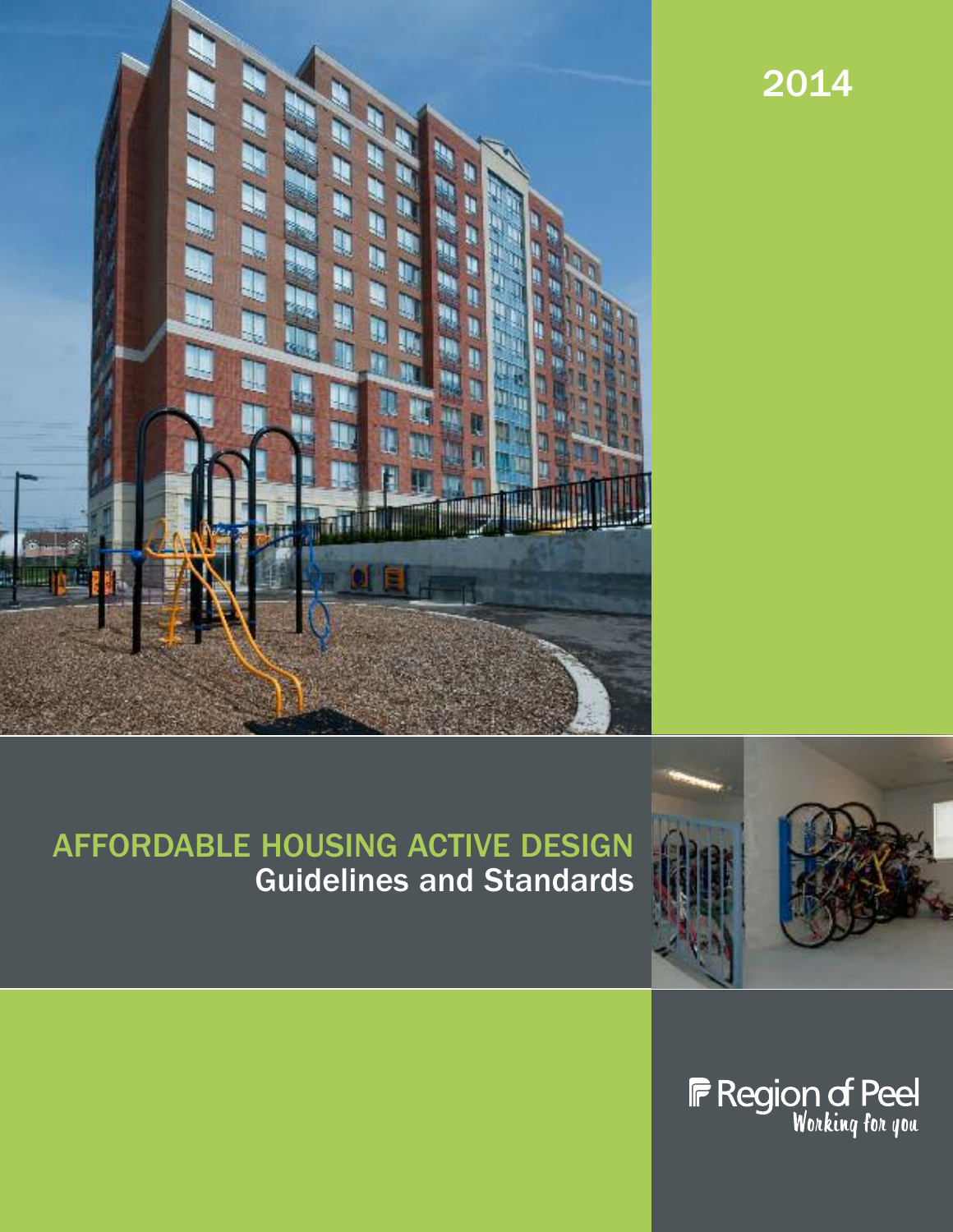

# 2014

# AFFORDABLE HOUSING ACTIVE DESIGN Guidelines and Standards



# **F** Region of Peel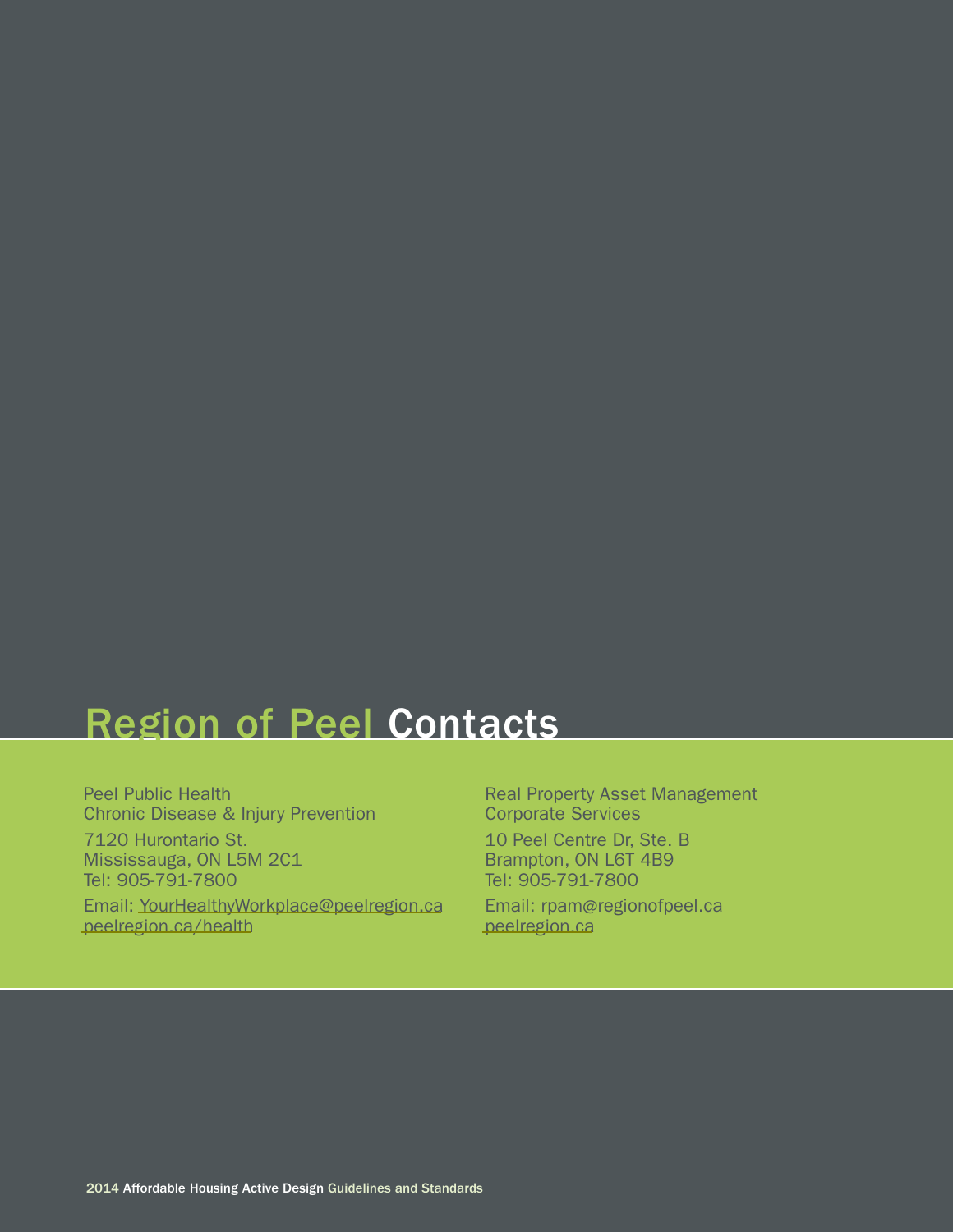# Region of Peel Contacts

Peel Public Health Chronic Disease & Injury Prevention

7120 Hurontario St. Mississauga, ON L5M 2C1 Tel: 905-791-7800

Email: [YourHealthyWorkplace@peelregion.ca](mailto:YourHealthyWorkplace@peelregion.ca) [peelregion.ca/health](www.peelregion.ca/health)

Real Property Asset Management Corporate Services

10 Peel Centre Dr, Ste. B Brampton, ON L6T 4B9 Tel: 905-791-7800

Email: [rpam@regionofpeel.ca](mailto: rpam@regionofpeel.ca) [peelregion.ca](www.peelregion.ca)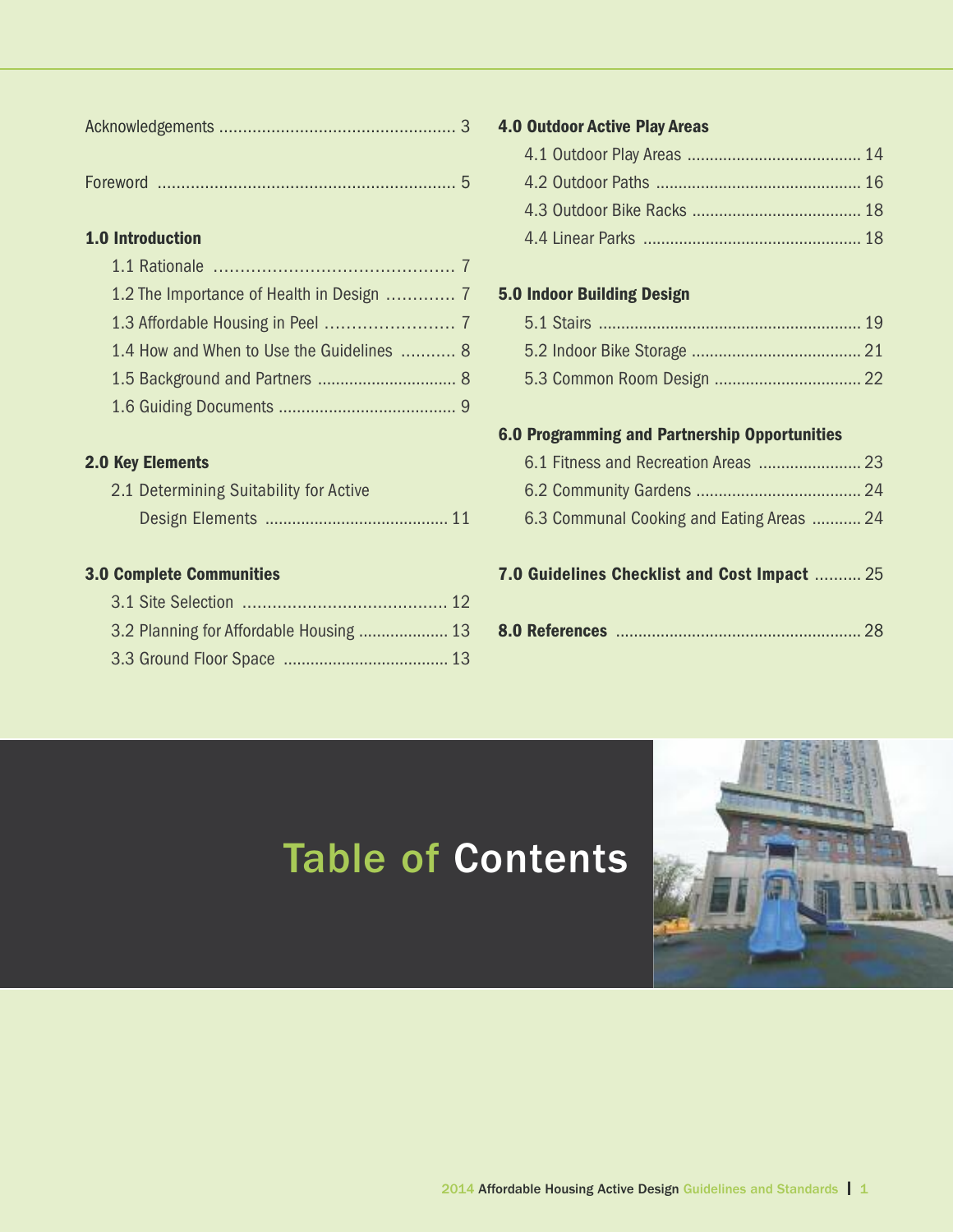### **1.0 Introduction**

| 1.2 The Importance of Health in Design  7 |  |
|-------------------------------------------|--|
|                                           |  |
| 1.4 How and When to Use the Guidelines  8 |  |
|                                           |  |
|                                           |  |

### **2.0 Key Elements**

| 2.1 Determining Suitability for Active |  |  |
|----------------------------------------|--|--|
|                                        |  |  |

### **3.0 Complete Communities**

| 3.2 Planning for Affordable Housing  13 |  |
|-----------------------------------------|--|
|                                         |  |

### **4.0 Outdoor Active Play Areas**

## **5.0 Indoor Building Design**

### **6.0 Programming and Partnership Opportunities**

| 6.3 Communal Cooking and Eating Areas  24    |  |
|----------------------------------------------|--|
| 7.0 Guidelines Checklist and Cost Impact  25 |  |
|                                              |  |

|--|--|--|--|

# **Table of Contents**

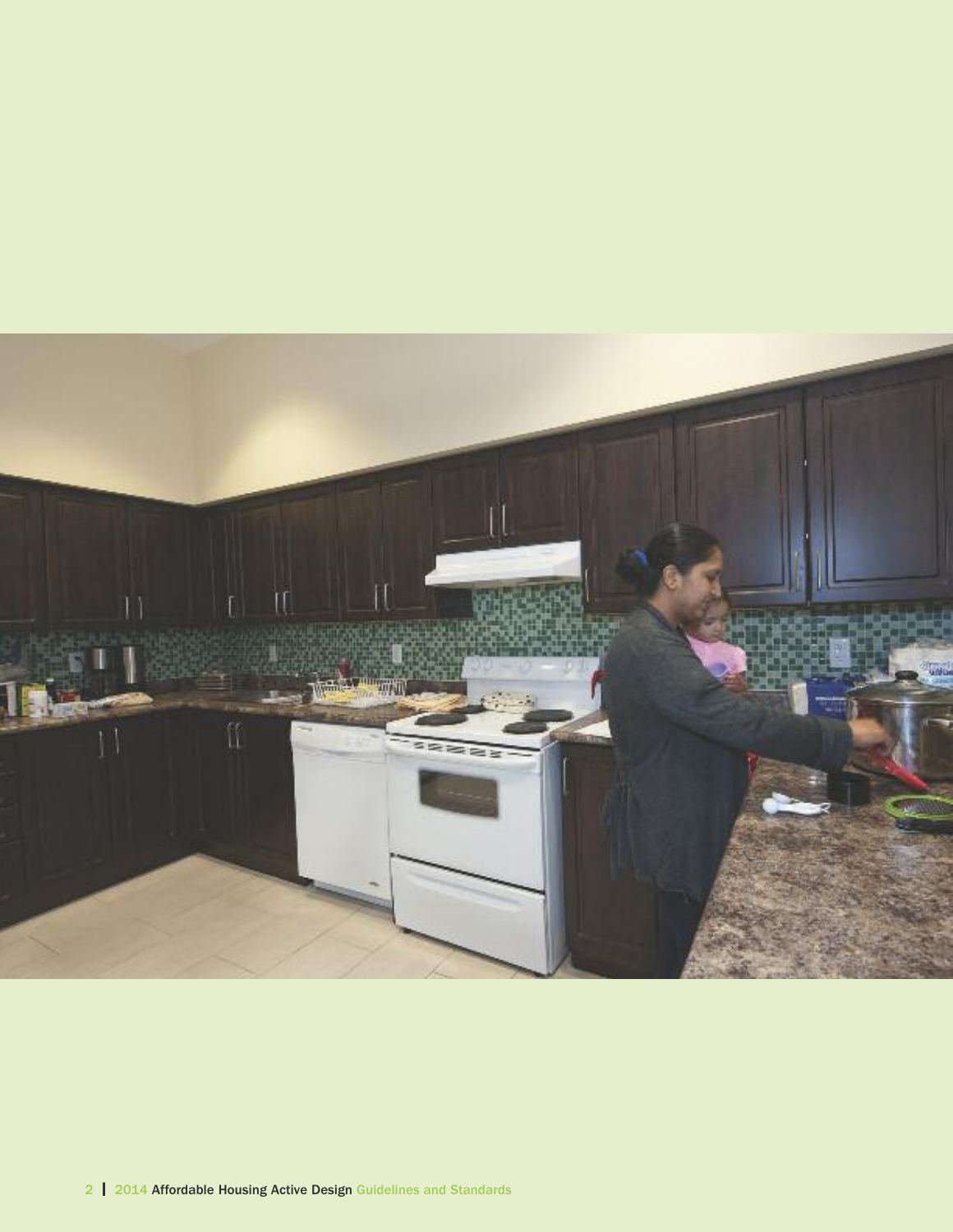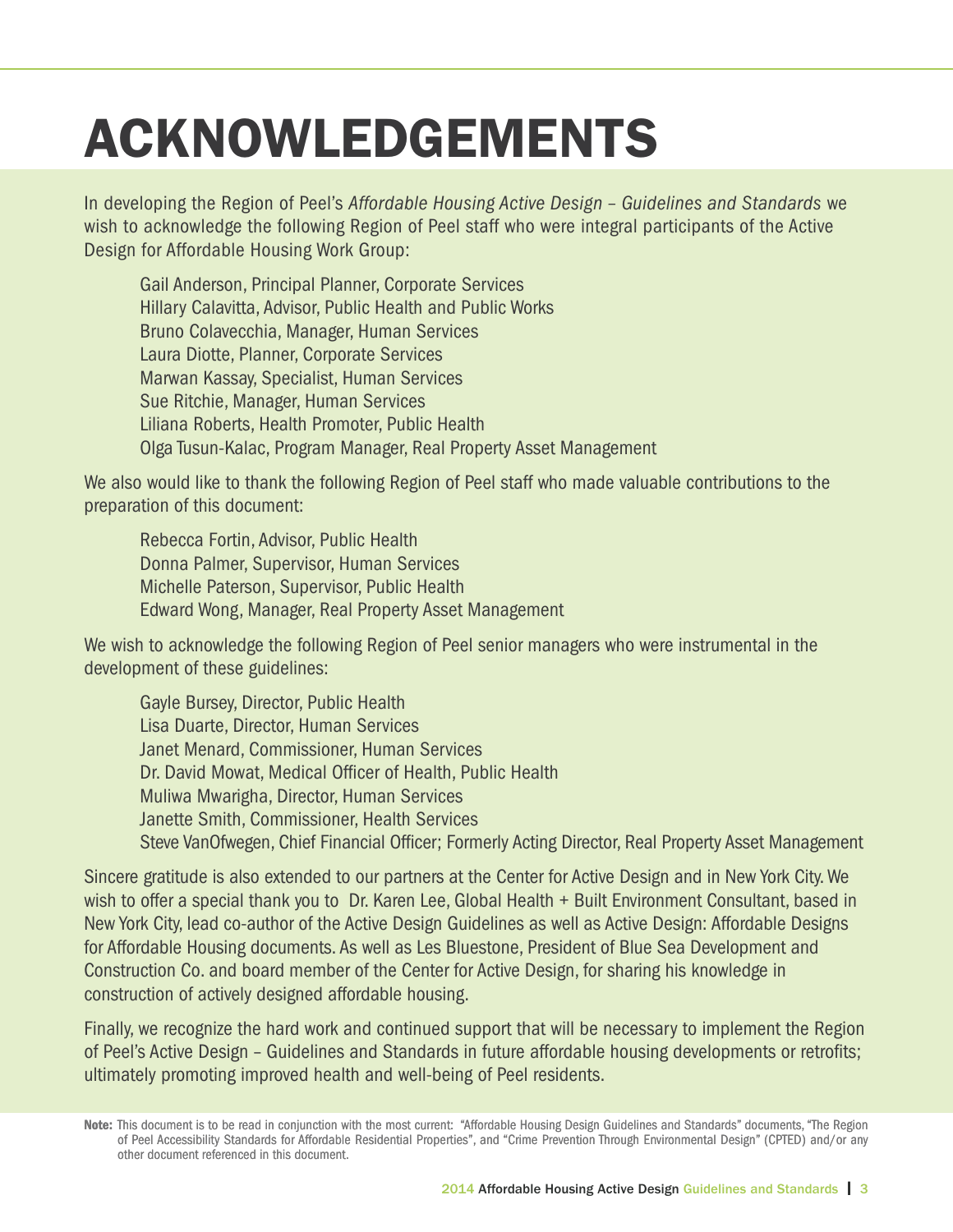In developing the Region of Peel's *Affordable Housing Active Design – Guidelines and Standards* we wish to acknowledge the following Region of Peel staff who were integral participants of the Active Design for Affordable Housing Work Group:

**ACKNOWLEDEMENTS**<br>
In developing the Region of Peet's *Affordable Houssing Active Design - Guid*<br>
News to acknowledge the following Region of Peet staff who were integral pe<br>
Design for Affordable Housing Work Group:<br>
Gail Gail Anderson, Principal Planner, Corporate Services Hillary Calavitta, Advisor, Public Health and Public Works Bruno Colavecchia, Manager, Human Services Laura Diotte, Planner, Corporate Services Marwan Kassay, Specialist, Human Services Sue Ritchie, Manager, Human Services Liliana Roberts, Health Promoter, Public Health Olga Tusun-Kalac, Program Manager, Real Property Asset Management

We also would like to thank the following Region of Peel staff who made valuable contributions to the preparation of this document:

Rebecca Fortin, Advisor, Public Health Donna Palmer, Supervisor, Human Services Michelle Paterson, Supervisor, Public Health Edward Wong, Manager, Real Property Asset Management

We wish to acknowledge the following Region of Peel senior managers who were instrumental in the development of these guidelines:

Gayle Bursey, Director, Public Health Lisa Duarte, Director, Human Services Janet Menard, Commissioner, Human Services Dr. David Mowat, Medical Officer of Health, Public Health Muliwa Mwarigha, Director, Human Services Janette Smith, Commissioner, Health Services Steve VanOfwegen, Chief Financial Officer; Formerly Acting Director, Real Property Asset Management

Sincere gratitude is also extended to our partners at the Center for Active Design and in New York City.We wish to offer a special thank you to Dr. Karen Lee, Global Health + Built Environment Consultant, based in New York City, lead co-author of the Active Design Guidelines as well as Active Design: Affordable Designs for Affordable Housing documents. As well as Les Bluestone, President of Blue Sea Development and Construction Co. and board member of the Center for Active Design, for sharing his knowledge in construction of actively designed affordable housing.

Finally, we recognize the hard work and continued support that will be necessary to implement the Region of Peel's Active Design – Guidelines and Standards in future affordable housing developments or retrofits; ultimately promoting improved health and well-being of Peel residents.

**Note:** This document is to be read in conjunction with the most current: "Affordable Housing Design Guidelines and Standards" documents,"The Region of Peel Accessibility Standards for Affordable Residential Properties", and "Crime Prevention Through Environmental Design" (CPTED) and/or any other document referenced in this document.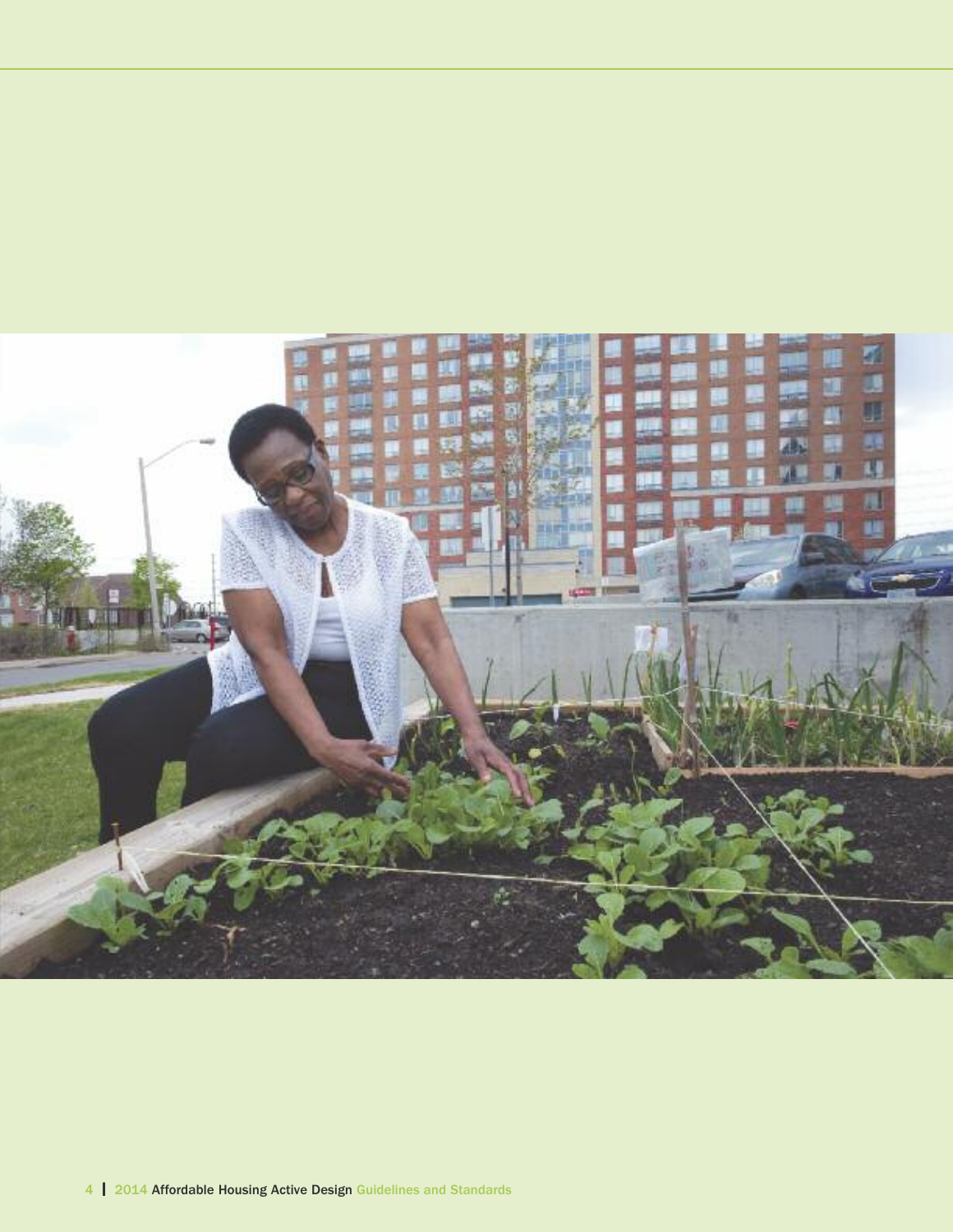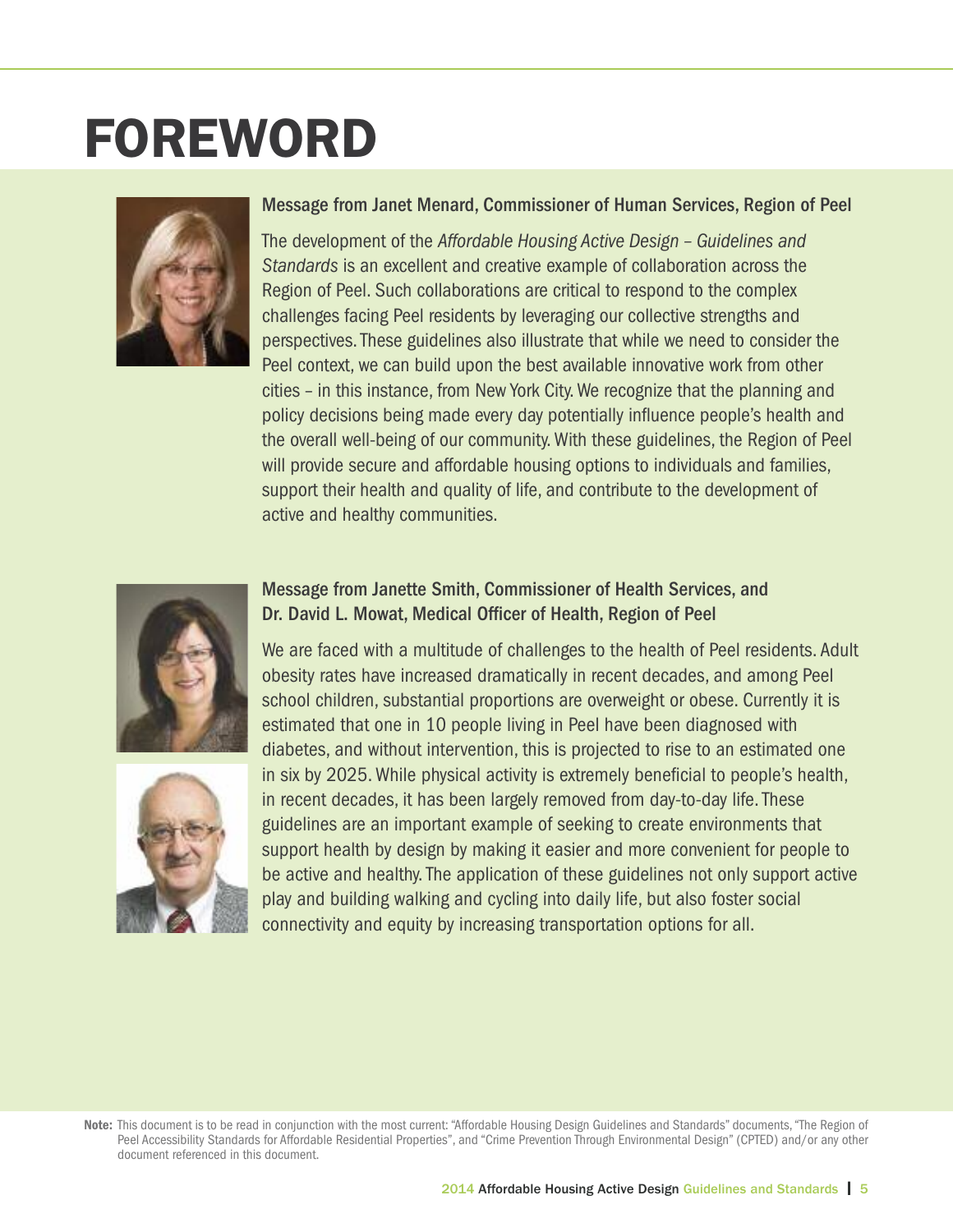# **FOREWORD**



#### Message from Janet Menard, Commissioner of Human Services, Region of Peel

The development of the *Affordable Housing Active Design – Guidelines and Standards* is an excellent and creative example of collaboration across the Region of Peel. Such collaborations are critical to respond to the complex challenges facing Peel residents by leveraging our collective strengths and perspectives.These guidelines also illustrate that while we need to consider the Peel context, we can build upon the best available innovative work from other cities – in this instance, from New York City.We recognize that the planning and policy decisions being made every day potentially influence people's health and the overall well-being of our community.With these guidelines, the Region of Peel will provide secure and affordable housing options to individuals and families, support their health and quality of life, and contribute to the development of active and healthy communities.





### Message from Janette Smith, Commissioner of Health Services, and Dr. David L. Mowat, Medical Officer of Health, Region of Peel

We are faced with a multitude of challenges to the health of Peel residents. Adult obesity rates have increased dramatically in recent decades, and among Peel school children, substantial proportions are overweight or obese. Currently it is estimated that one in 10 people living in Peel have been diagnosed with diabetes, and without intervention, this is projected to rise to an estimated one in six by 2025.While physical activity is extremely beneficial to people's health, in recent decades, it has been largely removed from day-to-day life.These guidelines are an important example of seeking to create environments that support health by design by making it easier and more convenient for people to be active and healthy.The application of these guidelines not only support active play and building walking and cycling into daily life, but also foster social connectivity and equity by increasing transportation options for all.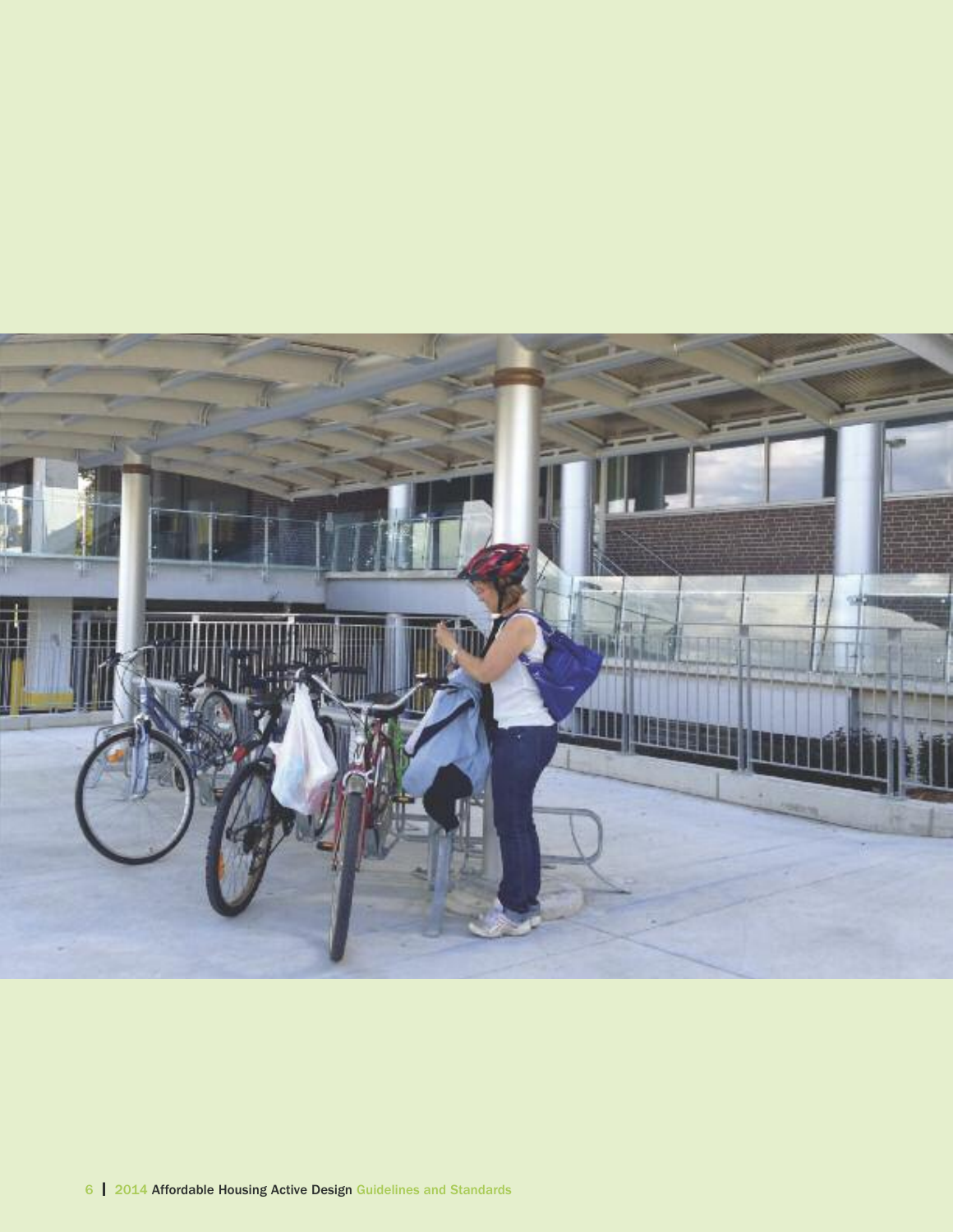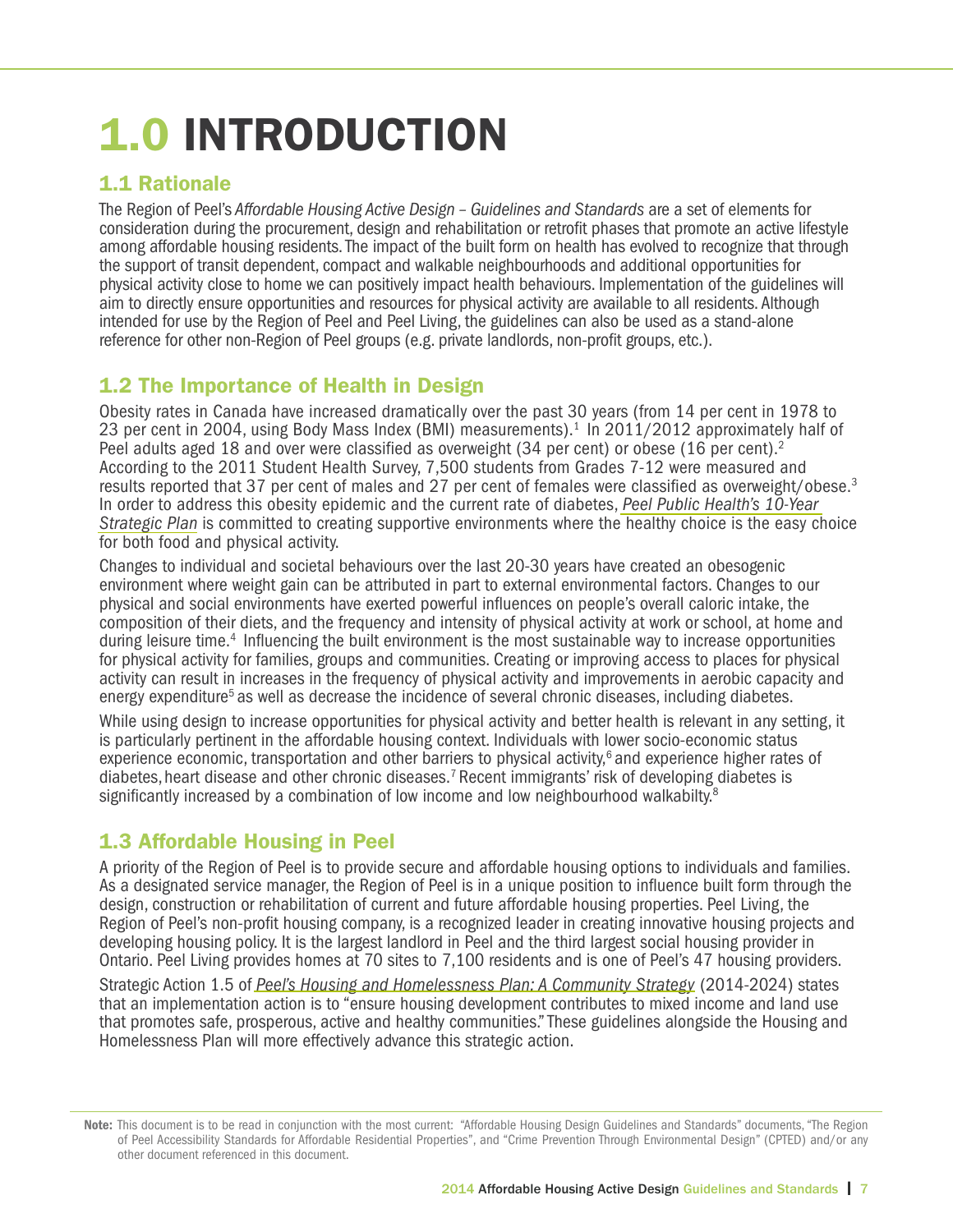# **1.0 INTRODUCTION**

# **1.1 Rationale**

The Region of Peel's *Affordable Housing Active Design – Guidelines and Standards* are a set of elements for consideration during the procurement, design and rehabilitation or retrofit phases that promote an active lifestyle among affordable housing residents.The impact of the built form on health has evolved to recognize that through the support of transit dependent, compact and walkable neighbourhoods and additional opportunities for physical activity close to home we can positively impact health behaviours. Implementation of the guidelines will aim to directly ensure opportunities and resources for physical activity are available to all residents. Although intended for use by the Region of Peel and Peel Living, the guidelines can also be used as a stand-alone reference for other non-Region of Peel groups (e.g. private landlords, non-profit groups, etc.).

# **1.2 The Importance of Health in Design**

Obesity rates in Canada have increased dramatically over the past 30 years (from 14 per cent in 1978 to 23 per cent in 2004, using Body Mass Index (BMI) measurements).<sup>1</sup> In 2011/2012 approximately half of Peel adults aged 18 and over were classified as overweight (34 per cent) or obese (16 per cent).<sup>2</sup> According to the 2011 Student Health Survey, 7,500 students from Grades 7-12 were measured and results reported that 37 per cent of males and 27 per cent of females were classified as overweight/obese.<sup>3</sup> In order to address this obesity epidemic and the current rate of diabetes, *Peel Public [Health's](http://www.peelregion.ca/health/health-status-report/strategic-plan/) 10-Year [Strategic](http://www.peelregion.ca/health/health-status-report/strategic-plan/) Plan* is committed to creating supportive environments where the healthy choice is the easy choice for both food and physical activity.

Changes to individual and societal behaviours over the last 20-30 years have created an obesogenic environment where weight gain can be attributed in part to external environmental factors. Changes to our physical and social environments have exerted powerful influences on people's overall caloric intake, the composition of their diets, and the frequency and intensity of physical activity at work or school, at home and during leisure time.<sup>4</sup> Influencing the built environment is the most sustainable way to increase opportunities for physical activity for families, groups and communities. Creating or improving access to places for physical activity can result in increases in the frequency of physical activity and improvements in aerobic capacity and energy expenditure<sup>5</sup> as well as decrease the incidence of several chronic diseases, including diabetes.

While using design to increase opportunities for physical activity and better health is relevant in any setting, it is particularly pertinent in the affordable housing context. Individuals with lower socio-economic status experience economic, transportation and other barriers to physical activity,<sup>6</sup> and experience higher rates of diabetes, heart disease and other chronic diseases.<sup>7</sup> Recent immigrants' risk of developing diabetes is significantly increased by a combination of low income and low neighbourhood walkabilty.<sup>8</sup>

# **1.3 Affordable Housing in Peel**

A priority of the Region of Peel is to provide secure and affordable housing options to individuals and families. As a designated service manager, the Region of Peel is in a unique position to influence built form through the design, construction or rehabilitation of current and future affordable housing properties. Peel Living, the Region of Peel's non-profit housing company, is a recognized leader in creating innovative housing projects and developing housing policy. It is the largest landlord in Peel and the third largest social housing provider in Ontario. Peel Living provides homes at 70 sites to 7,100 residents and is one of Peel's 47 housing providers.

Strategic Action 1.5 of *Peel's Housing and [Homelessness](http://www.peelregion.ca/housing/housinghomelessness/pdfs/Peel-Housing-and-Homelessness-Plan-110.pdf) Plan: A Community Strategy* (2014-2024) states that an implementation action is to "ensure housing development contributes to mixed income and land use that promotes safe, prosperous, active and healthy communities."These guidelines alongside the Housing and Homelessness Plan will more effectively advance this strategic action.

**Note:** This document is to be read in conjunction with the most current: "Affordable Housing Design Guidelines and Standards" documents,"The Region of Peel Accessibility Standards for Affordable Residential Properties", and "Crime Prevention Through Environmental Design" (CPTED) and/or any other document referenced in this document.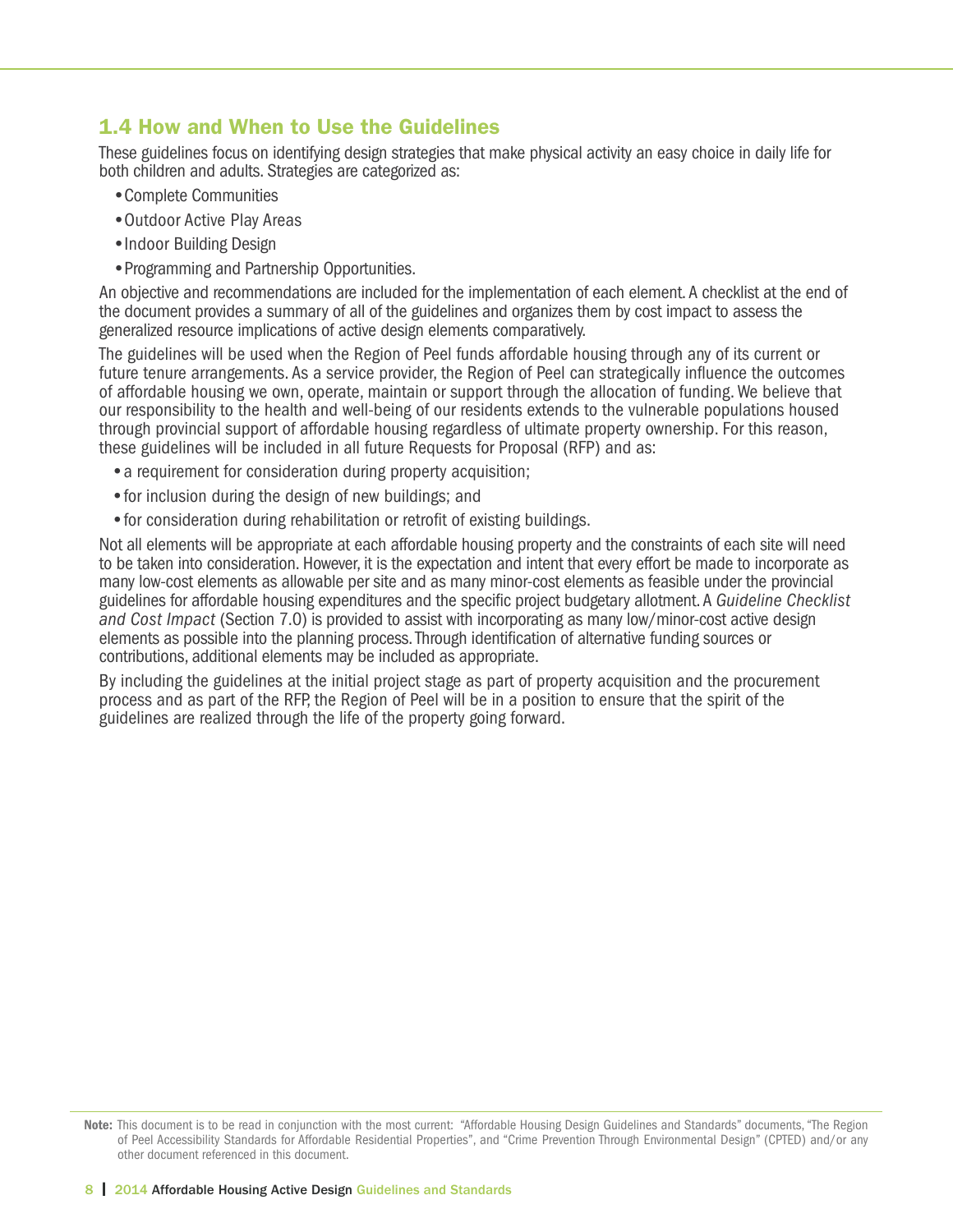## **1.4 How and When to Use the Guidelines**

These guidelines focus on identifying design strategies that make physical activity an easy choice in daily life for both children and adults. Strategies are categorized as:

- **•**Complete Communities
- **•**Outdoor Active Play Areas
- **•**Indoor Building Design
- **•**Programming and Partnership Opportunities.

An objective and recommendations are included for the implementation of each element.A checklist at the end of the document provides a summary of all of the guidelines and organizes them by cost impact to assess the generalized resource implications of active design elements comparatively.

The guidelines will be used when the Region of Peel funds affordable housing through any of its current or future tenure arrangements. As a service provider, the Region of Peel can strategically influence the outcomes of affordable housing we own, operate, maintain or support through the allocation of funding.We believe that our responsibility to the health and well-being of our residents extends to the vulnerable populations housed through provincial support of affordable housing regardless of ultimate property ownership. For this reason, these guidelines will be included in all future Requests for Proposal (RFP) and as:

- **•**a requirement for consideration during property acquisition;
- **•**for inclusion during the design of new buildings; and
- **•**for consideration during rehabilitation or retrofit of existing buildings.

Not all elements will be appropriate at each affordable housing property and the constraints of each site will need to be taken into consideration. However, it is the expectation and intent that every effort be made to incorporate as many low-cost elements as allowable per site and as many minor-cost elements as feasible under the provincial guidelines for affordable housing expenditures and the specific project budgetary allotment.A *Guideline Checklist and Cost Impact* (Section 7.0) is provided to assist with incorporating as many low/minor-cost active design elements as possible into the planning process.Through identification of alternative funding sources or contributions, additional elements may be included as appropriate.

By including the guidelines at the initial project stage as part of property acquisition and the procurement process and as part of the RFP, the Region of Peel will be in a position to ensure that the spirit of the guidelines are realized through the life of the property going forward.

**Note:** This document is to be read in conjunction with the most current: "Affordable Housing Design Guidelines and Standards" documents,"The Region of Peel Accessibility Standards for Affordable Residential Properties", and "Crime Prevention Through Environmental Design" (CPTED) and/or any other document referenced in this document.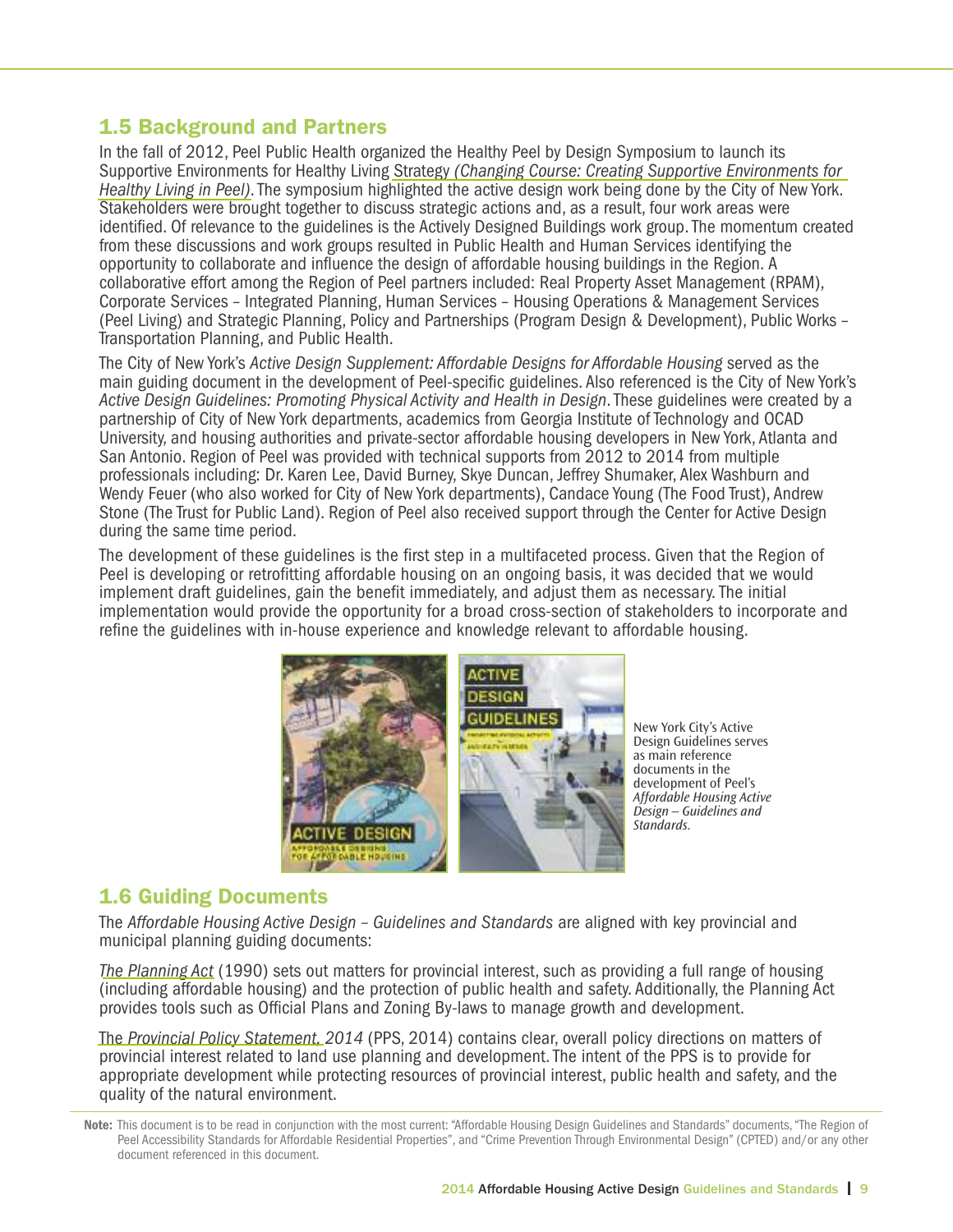## **1.5 Background and Partners**

In the fall of 2012, Peel Public Health organized the Healthy Peel by Design Symposium to launch its Supportive Environments for Healthy Living Strategy *(Changing Course: Creating Supportive [Environments](http://www.peelregion.ca/health/resources/changing-courses.htm) for [Healthy](http://www.peelregion.ca/health/resources/changing-courses.htm) Living in Peel)*.The symposium highlighted the active design work being done by the City of New York. Stakeholders were brought together to discuss strategic actions and, as a result, four work areas were identified. Of relevance to the guidelines is the Actively Designed Buildings work group.The momentum created from these discussions and work groups resulted in Public Health and Human Services identifying the opportunity to collaborate and influence the design of affordable housing buildings in the Region. A collaborative effort among the Region of Peel partners included: Real Property Asset Management (RPAM), Corporate Services – Integrated Planning, Human Services – Housing Operations & Management Services (Peel Living) and Strategic Planning, Policy and Partnerships (Program Design & Development), Public Works – Transportation Planning, and Public Health.

The City of New York's *Active Design Supplement: Affordable Designs for Affordable Housing* served as the main guiding document in the development of Peel-specific guidelines. Also referenced is the City of New York's *Active Design Guidelines: Promoting Physical Activity and Health in Design*.These guidelines were created by a partnership of City of New York departments, academics from Georgia Institute of Technology and OCAD University, and housing authorities and private-sector affordable housing developers in New York, Atlanta and San Antonio. Region of Peel was provided with technical supports from 2012 to 2014 from multiple professionals including: Dr. Karen Lee, David Burney, Skye Duncan, Jeffrey Shumaker, Alex Washburn and Wendy Feuer (who also worked for City of New York departments), Candace Young (The Food Trust), Andrew Stone (The Trust for Public Land). Region of Peel also received support through the Center for Active Design during the same time period.

The development of these guidelines is the first step in a multifaceted process. Given that the Region of Peel is developing or retrofitting affordable housing on an ongoing basis, it was decided that we would implement draft guidelines, gain the benefit immediately, and adjust them as necessary.The initial implementation would provide the opportunity for a broad cross-section of stakeholders to incorporate and refine the guidelines with in-house experience and knowledge relevant to affordable housing.



New York City's Active Design Guidelines serves as main reference documents in the development of Peel's *Affordable Housing Active Design – Guidelines and Standards*.

### **1.6 Guiding Documents**

The *Affordable Housing Active Design – Guidelines and Standards* are aligned with key provincial and municipal planning guiding documents:

*The [Planning](http://www.mah.gov.on.ca/Page1760.aspx) Act* (1990) sets out matters for provincial interest, such as providing a full range of housing (including affordable housing) and the protection of public health and safety. Additionally, the Planning Act provides tools such as Official Plans and Zoning By-laws to manage growth and development.

The *Provincial Policy [Statement,](http://www.mah.gov.on.ca/Page10679.aspx) 2014* (PPS, 2014) contains clear, overall policy directions on matters of provincial interest related to land use planning and development.The intent of the PPS is to provide for appropriate development while protecting resources of provincial interest, public health and safety, and the quality of the natural environment.

**Note:** This document is to be read in conjunction with the most current: "Affordable Housing Design Guidelines and Standards" documents,"The Region of Peel Accessibility Standards for Affordable Residential Properties", and "Crime Prevention Through Environmental Design" (CPTED) and/or any other document referenced in this document.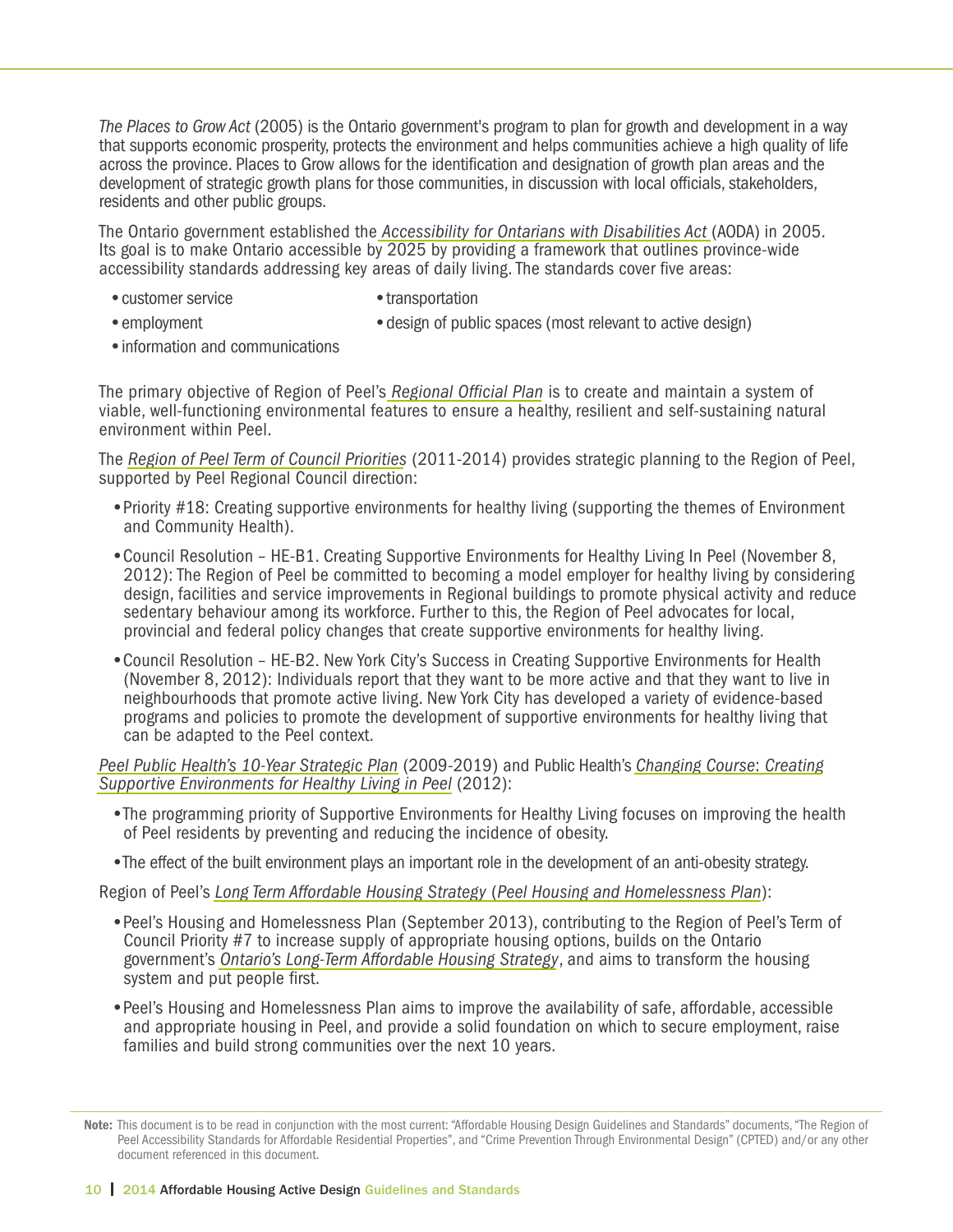*The Places to Grow Act* (2005) is the Ontario government's program to plan for growth and development in a way that supports economic prosperity, protects the environment and helps communities achieve a high quality of life across the province. Places to Grow allows for the identification and designation of growth plan areas and the development of strategic growth plans for those communities, in discussion with local officials, stakeholders, residents and other public groups.

The Ontario government established the *[Accessibility](www.mcss.gov.on.ca/en/mcss/programs/accessibility/understanding_accessibility/aoda.aspx) for Ontarians with Disabilities Act* (AODA) in 2005. Its goal is to make Ontario accessible by 2025 by providing a framework that outlines province-wide accessibility standards addressing key areas of daily living.The standards cover five areas:

**•**customer service

**•**transportation

**•**employment

- **•**design of public spaces (most relevant to active design)
- **•**information and communications

The primary objective of Region of Peel's *[Regional](http://www.peelregion.ca/planning/officialplan/.) Official Plan* is to create and maintain a system of viable, well-functioning environmental features to ensure a healthy, resilient and self-sustaining natural environment within Peel.

The *Region of Peel Term of Council [Priorities](https://www.peelregion.ca/corpserv/stratplan/)* (2011-2014) provides strategic planning to the Region of Peel, supported by Peel Regional Council direction:

- **•**Priority #18: Creating supportive environments for healthy living (supporting the themes of Environment and Community Health).
- **•**Council Resolution HE-B1. Creating Supportive Environments for Healthy Living In Peel (November 8, 2012): The Region of Peel be committed to becoming <sup>a</sup> model employer for healthy living by considering design, facilities and service improvements in Regional buildings to promote physical activity and reduce sedentary behaviour among its workforce. Further to this, the Region of Peel advocates for local, provincial and federal policy changes that create supportive environments for healthy living.
- **•**Council Resolution HE-B2. New York City's Success in Creating Supportive Environments for Health (November 8, 2012): Individuals report that they want to be more active and that they want to live in neighbourhoods that promote active living. New York City has developed a variety of evidence-based programs and policies to promote the development of supportive environments for healthy living that can be adapted to the Peel context.

*Peel Public Health's 10-Year [Strategic](http://www.peelregion.ca/health/health-status-report/strategic-plan/) Plan* (2009-2019) and Public Health's *[Changing](http://www.peelregion.ca/health/resources/changing-courses.htm) Course*: *Creating Supportive [Environments](http://www.peelregion.ca/health/resources/changing-courses.htm) for Healthy Living in Peel* (2012):

- **•**The programming priority of Supportive Environments for Healthy Living focuses on improving the health of Peel residents by preventing and reducing the incidence of obesity.
- **•**The effect of the built environment plays an important role in the development of an anti-obesity strategy.

Region of Peel's *Long Term Affordable Housing Strategy* (*Peel Housing and [Homelessness](http://www.peelregion.ca/housing/housinghomelessness/) Plan*):

- **•**Peel's Housing and Homelessness Plan (September 2013), contributing to the Region of Peel's Term of Council Priority #7 to increase supply of appropriate housing options, builds on the Ontario government's *Ontario's Long-Term [Affordable](www.mah.gov.on.ca/Page9181.aspx) Housing Strategy*, and aims to transform the housing system and put people first.
- **•**Peel's Housing and Homelessness Plan aims to improve the availability of safe, affordable, accessible and appropriate housing in Peel, and provide a solid foundation on which to secure employment, raise families and build strong communities over the next 10 years.

**Note:** This document is to be read in conjunction with the most current: "Affordable Housing Design Guidelines and Standards" documents,"The Region of Peel Accessibility Standards for Affordable Residential Properties", and "Crime Prevention Through Environmental Design" (CPTED) and/or any other document referenced in this document.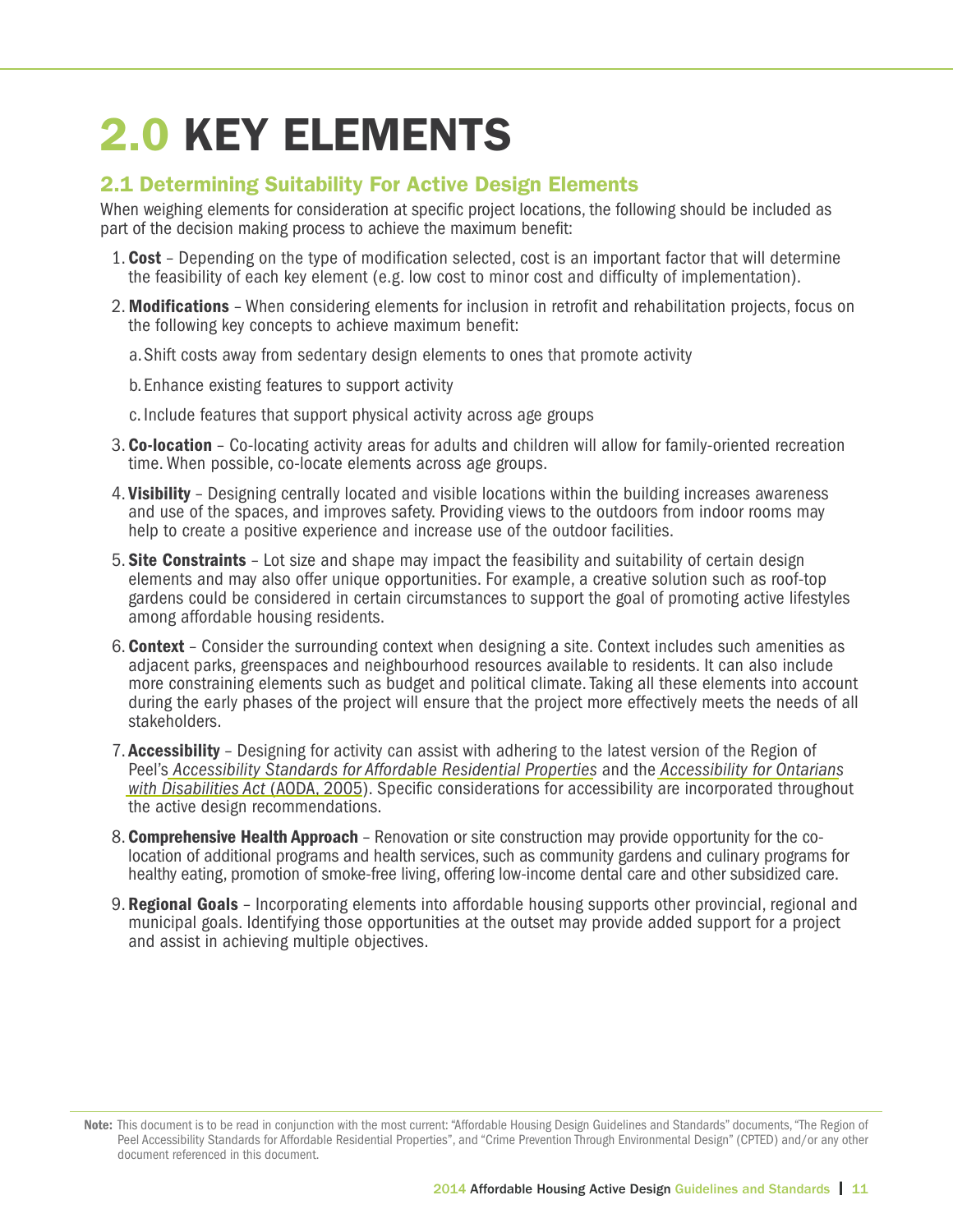# **2.0 KEY ELEMENTS**

# **2.1 Determining Suitability For Active Design Elements**

When weighing elements for consideration at specific project locations, the following should be included as part of the decision making process to achieve the maximum benefit:

- 1. **Cost** Depending on the type of modification selected, cost is an important factor that will determine the feasibility of each key element (e.g. low cost to minor cost and difficulty of implementation).
- 2. **Modifications** When considering elements for inclusion in retrofit and rehabilitation projects, focus on the following key concepts to achieve maximum benefit:
	- a.Shift costs away from sedentary design elements to ones that promote activity
	- b.Enhance existing features to support activity
	- c. Include features that support physical activity across age groups
- 3. **Co-location** Co-locating activity areas for adults and children will allow for family-oriented recreation time.When possible, co-locate elements across age groups.
- 4. **Visibility** Designing centrally located and visible locations within the building increases awareness and use of the spaces, and improves safety. Providing views to the outdoors from indoor rooms may help to create a positive experience and increase use of the outdoor facilities.
- 5. **Site Constraints** Lot size and shape may impact the feasibility and suitability of certain design elements and may also offer unique opportunities. For example, a creative solution such as roof-top gardens could be considered in certain circumstances to support the goal of promoting active lifestyles among affordable housing residents.
- 6. **Context** Consider the surrounding context when designing a site. Context includes such amenities as adjacent parks, greenspaces and neighbourhood resources available to residents. It can also include more constraining elements such as budget and political climate.Taking all these elements into account during the early phases of the project will ensure that the project more effectively meets the needs of all stakeholders.
- 7. **Accessibility** Designing for activity can assist with adhering to the latest version of the Region of Peel's *[Accessibility](http://www.peelregion.ca/housing/peelbuilds/news/uas/) Standards for Affordable Residential Properties* and the *[Accessibility](http://www.mcss.gov.on.ca/en/mcss/programs/accessibility/understanding_accessibility/aoda.aspx) for Ontarians with [Disabilities](http://www.mcss.gov.on.ca/en/mcss/programs/accessibility/understanding_accessibility/aoda.aspx) Act* (AODA, 2005). Specific considerations for accessibility are incorporated throughout the active design recommendations.
- 8. **Comprehensive Health Approach** Renovation or site construction may provide opportunity for the co-<br>location of additional programs and health services, such as community gardens and culinary programs for healthy eating, promotion of smoke-free living, offering low-income dental care and other subsidized care.
- 9. **Regional Goals** Incorporating elements into affordable housing supports other provincial, regional and municipal goals. Identifying those opportunities at the outset may provide added support for a project and assist in achieving multiple objectives.

**Note:** This document is to be read in conjunction with the most current: "Affordable Housing Design Guidelines and Standards" documents,"The Region of Peel Accessibility Standards for Affordable Residential Properties", and "Crime Prevention Through Environmental Design" (CPTED) and/or any other document referenced in this document.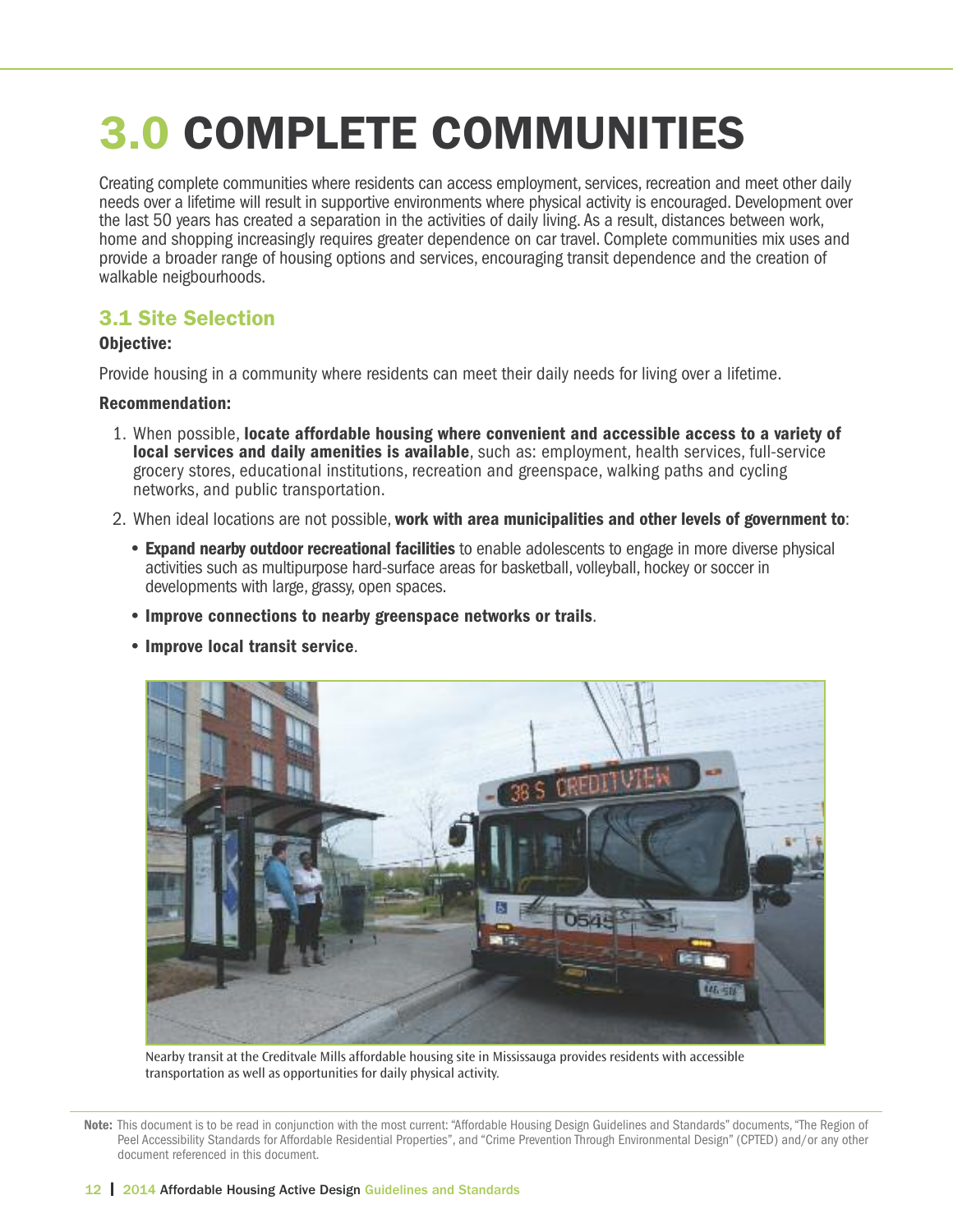# **3.0 COMPLETE COMMUNITIES**

Creating complete communities where residents can access employment, services, recreation and meet other daily needs over a lifetime will result in supportive environments where physical activity is encouraged. Development over the last 50 years has created a separation in the activities of daily living. As a result, distances between work, home and shopping increasingly requires greater dependence on car travel. Complete communities mix uses and provide a broader range of housing options and services, encouraging transit dependence and the creation of walkable neigbourhoods.

# **3.1 Site Selection**

#### **Objective:**

Provide housing in a community where residents can meet their daily needs for living over a lifetime.

#### **Recommendation:**

- 1. When possible, **locate affordable housing where convenient and accessible access to a variety of local services and daily amenities is available**, such as: employment, health services, full-service grocery stores, educational institutions, recreation and greenspace, walking paths and cycling networks, and public transportation.
- 2. When ideal locations are not possible, **work with area municipalities and other levels of government to**:
	- **• Expand nearby outdoor recreational facilities** to enable adolescents to engage in more diverse physical activities such as multipurpose hard-surface areas for basketball, volleyball, hockey or soccer in developments with large, grassy, open spaces.
	- **• Improve connections to nearby greenspace networks or trails**.
	- **• Improve local transit service**.



Nearby transit at the Creditvale Mills affordable housing site in Mississauga provides residents with accessible transportation as well as opportunities for daily physical activity.

**Note:** This document is to be read in conjunction with the most current: "Affordable Housing Design Guidelines and Standards" documents,"The Region of Peel Accessibility Standards for Affordable Residential Properties", and "Crime Prevention Through Environmental Design" (CPTED) and/or any other document referenced in this document.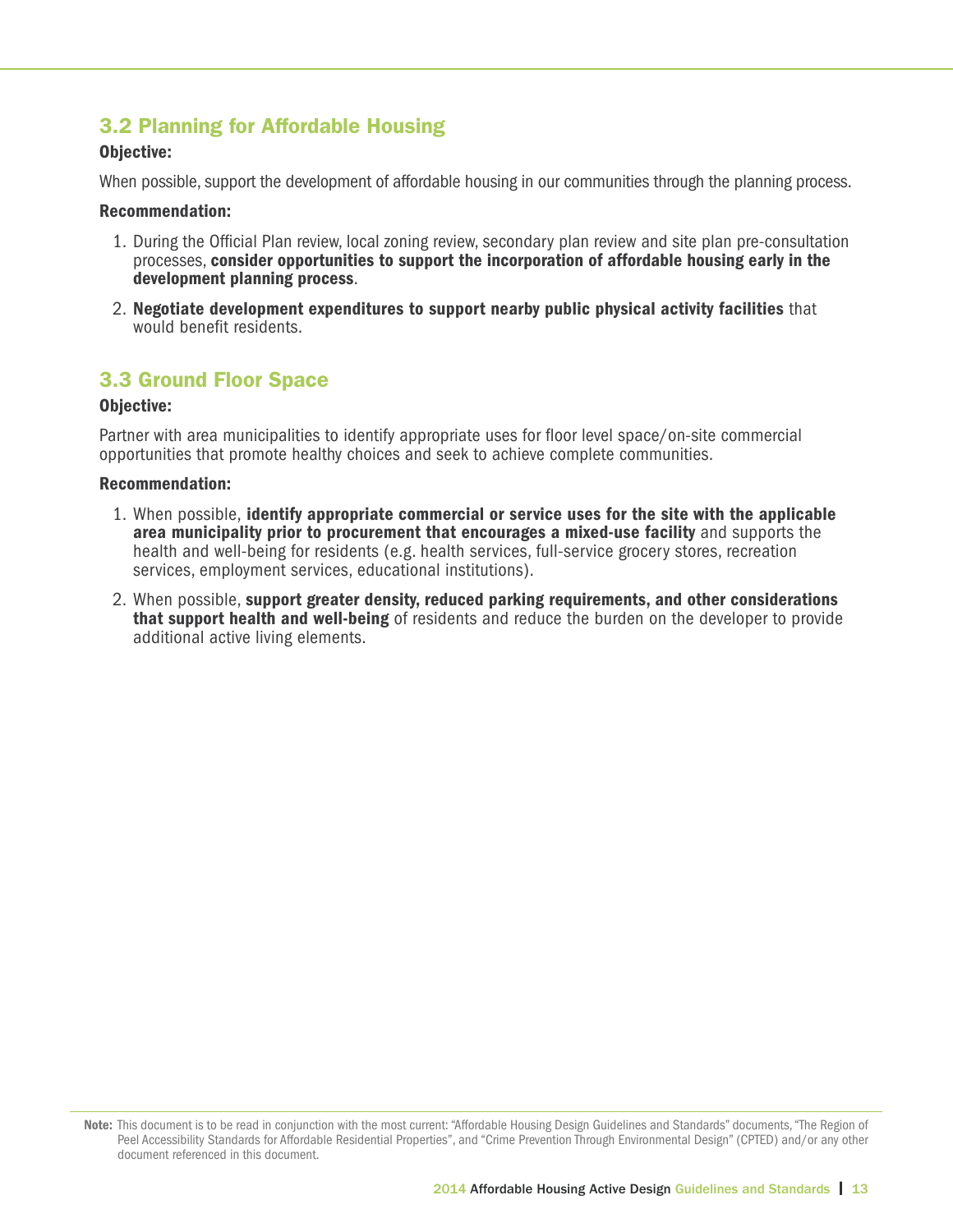# **3.2 Planning for Affordable Housing**

#### **Objective:**

When possible, support the development of affordable housing in our communities through the planning process.

#### **Recommendation:**

- 1. During the Official Plan review, local zoning review, secondary plan review and site plan pre-consultation processes, **consider opportunities to support the incorporation of affordable housing early in the development planning process**.
- 2. **Negotiate development expenditures to support nearby public physical activity facilities** that would benefit residents.

# **3.3 Ground Floor Space**

#### **Objective:**

Partner with area municipalities to identify appropriate uses for floor level space/on-site commercial opportunities that promote healthy choices and seek to achieve complete communities.

#### **Recommendation:**

- 1. When possible, **identify appropriate commercial or service uses for the site with the applicable area municipality prior to procurement that encourages a mixed-use facility** and supports the health and well-being for residents (e.g. health services, full-service grocery stores, recreation services, employment services, educational institutions).
- 2. When possible, **support greater density, reduced parking requirements, and other considerations that support health and well-being** of residents and reduce the burden on the developer to provide additional active living elements.

**Note:** This document is to be read in conjunction with the most current: "Affordable Housing Design Guidelines and Standards" documents,"The Region of Peel Accessibility Standards for Affordable Residential Properties", and "Crime Prevention Through Environmental Design" (CPTED) and/or any other document referenced in this document.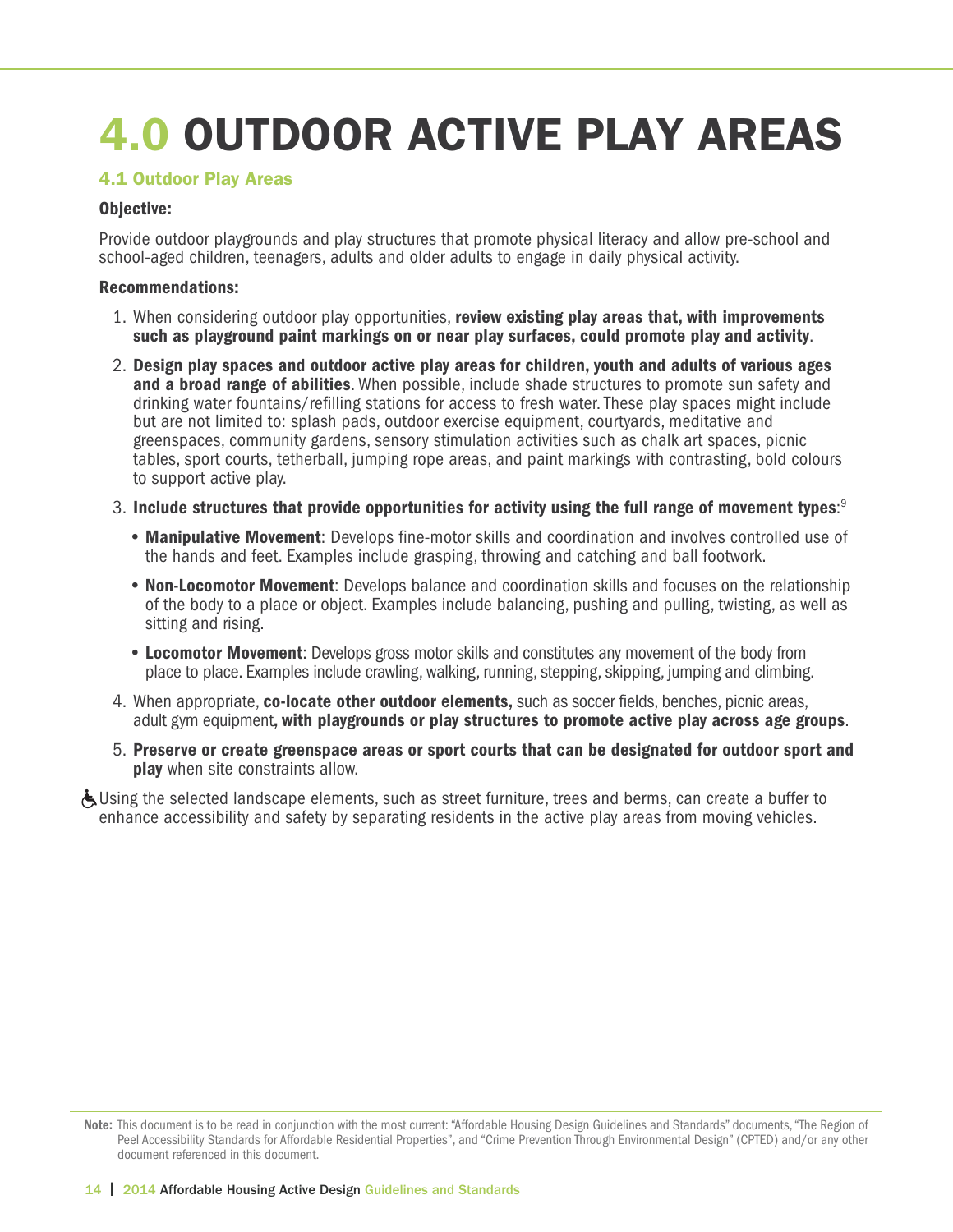# **4.0 OUTDOOR ACTIVE PLAY AREAS**

### **4.1 Outdoor Play Areas**

#### **Objective:**

Provide outdoor playgrounds and play structures that promote physical literacy and allow pre-school and school-aged children, teenagers, adults and older adults to engage in daily physical activity.

#### **Recommendations:**

- 1. When considering outdoor play opportunities, **review existing play areas that, with improvements such as playground paint markings on or near play surfaces, could promote play and activity**.
- 2. **Design play spaces and outdoor active play areas for children, youth and adults of various ages and a broad range of abilities**.When possible, include shade structures to promote sun safety and drinking water fountains/refilling stations for access to fresh water.These play spaces might include but are not limited to: splash pads, outdoor exercise equipment, courtyards, meditative and greenspaces, community gardens, sensory stimulation activities such as chalk art spaces, picnic tables, sport courts, tetherball, jumping rope areas, and paint markings with contrasting, bold colours to support active play.
- 3. **Include structures that provide opportunities for activity using the full range of movement types**: 9
	- **• Manipulative Movement**: Develops fine-motor skills and coordination and involves controlled use of the hands and feet. Examples include grasping, throwing and catching and ball footwork.
	- **• Non-Locomotor Movement**: Develops balance and coordination skills and focuses on the relationship of the body to a place or object. Examples include balancing, pushing and pulling, twisting, as well as sitting and rising.
	- **• Locomotor Movement**: Develops gross motor skills and constitutes any movement of the body from place to place. Examples include crawling, walking, running, stepping, skipping, jumping and climbing.
- 4. When appropriate, **co-locate other outdoor elements,** such as soccer fields, benches, picnic areas, adult gym equipment**, with playgrounds or play structures to promote active play across age groups**.
- 5. **Preserve or create greenspace areas or sport courts that can be designated for outdoor sport and play** when site constraints allow.

Using the selected landscape elements, such as street furniture, trees and berms, can create a buffer to enhance accessibility and safety by separating residents in the active play areas from moving vehicles.

**Note:** This document is to be read in conjunction with the most current: "Affordable Housing Design Guidelines and Standards" documents,"The Region of Peel Accessibility Standards for Affordable Residential Properties", and "Crime Prevention Through Environmental Design" (CPTED) and/or any other document referenced in this document.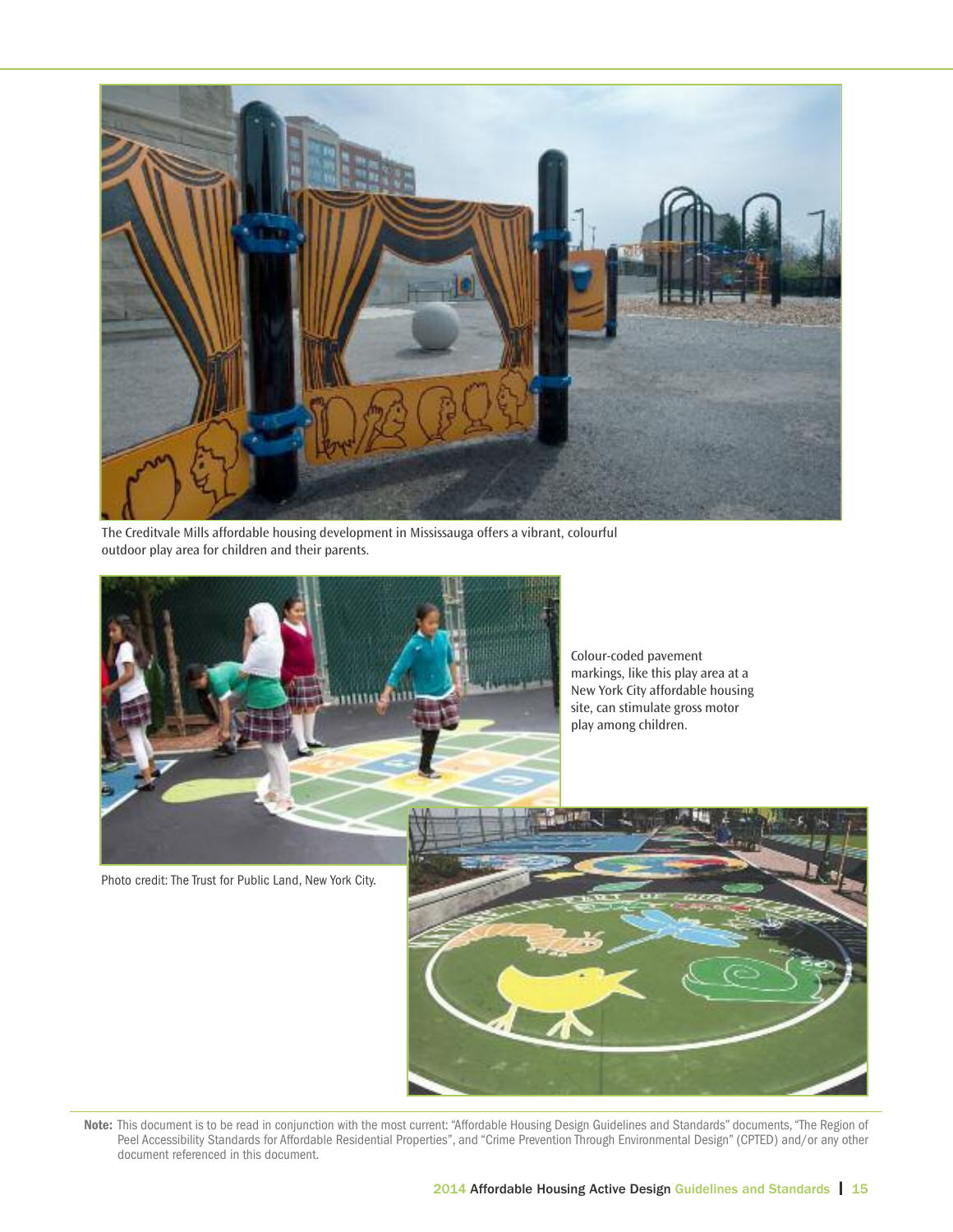

The Creditvale Mills affordable housing development in Mississauga offers a vibrant, colourful outdoor play area for children and their parents.



Photo credit: The Trust for Public Land, New York City.

Colour-coded pavement markings, like this play area at a New York City affordable housing site, can stimulate gross motor play among children.



**Note:** This document is to be read in conjunction with the most current: "Affordable Housing Design Guidelines and Standards" documents,"The Region of Peel Accessibility Standards for Affordable Residential Properties", and "Crime Prevention Through Environmental Design" (CPTED) and/or any other document referenced in this document.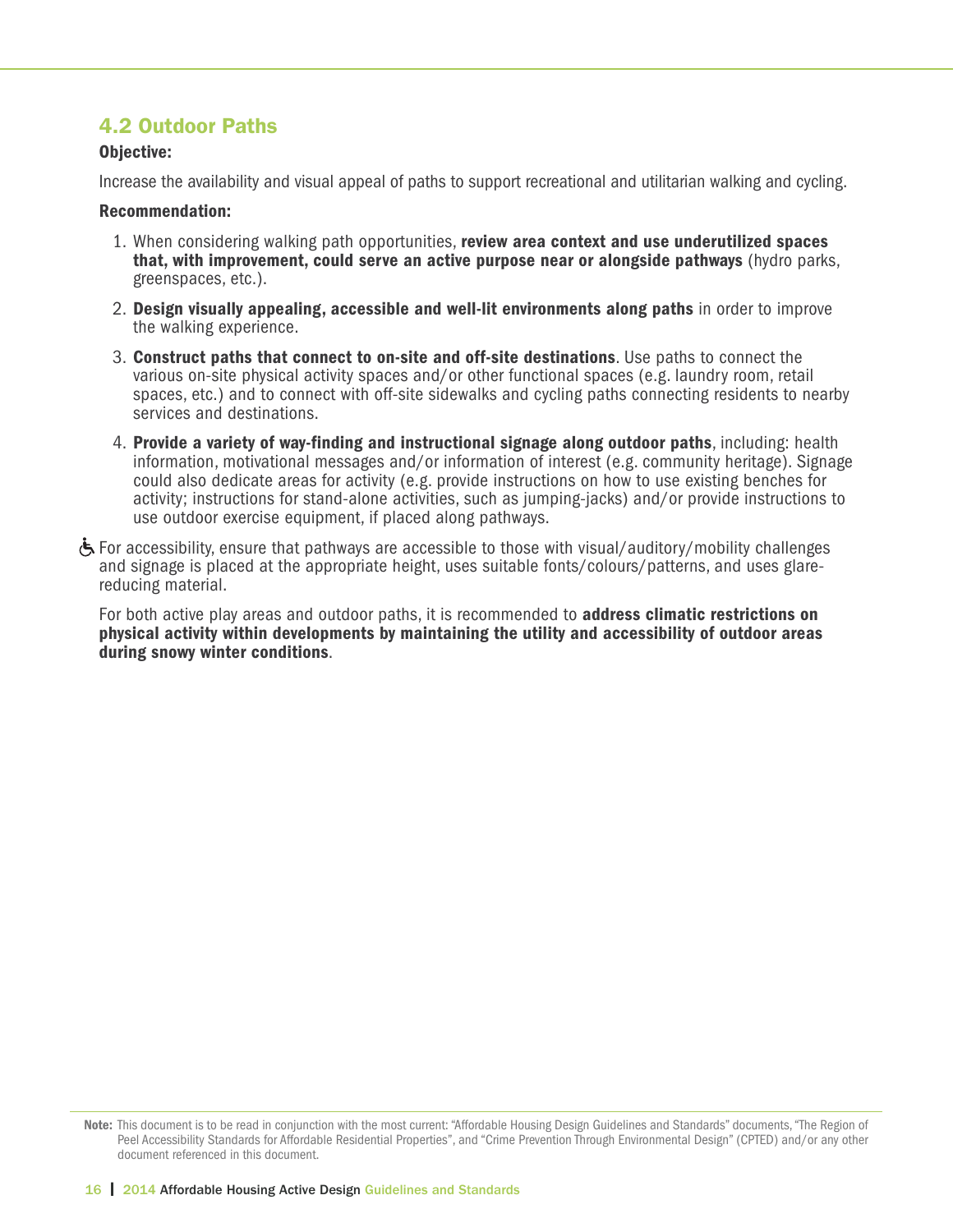# **4.2 Outdoor Paths**

#### **Objective:**

Increase the availability and visual appeal of paths to support recreational and utilitarian walking and cycling.

#### **Recommendation:**

- 1. When considering walking path opportunities, **review area context and use underutilized spaces that, with improvement, could serve an active purpose near or alongside pathways** (hydro parks, greenspaces, etc.).
- 2. **Design visually appealing, accessible and well-lit environments along paths** in order to improve the walking experience.
- 3. **Construct paths that connect to on-site and off-site destinations**. Use paths to connect the various on-site physical activity spaces and/or other functional spaces (e.g. laundry room, retail spaces, etc.) and to connect with off-site sidewalks and cycling paths connecting residents to nearby services and destinations.
- 4. **Provide a variety of way-finding and instructional signage along outdoor paths**, including: health information, motivational messages and/or information of interest (e.g. community heritage). Signage could also dedicate areas for activity (e.g. provide instructions on how to use existing benches for activity; instructions for stand-alone activities, such as jumping-jacks) and/or provide instructions to use outdoor exercise equipment, if placed along pathways.

For accessibility, ensure that pathways are accessible to those with visual/auditory/mobility challenges and signage is placed at the appropriate height, uses suitable fonts/colours/patterns, and uses glarereducing material.

For both active play areas and outdoor paths, it is recommended to **address climatic restrictions on physical activity within developments by maintaining the utility and accessibility of outdoor areas during snowy winter conditions**.

**Note:** This document is to be read in conjunction with the most current: "Affordable Housing Design Guidelines and Standards" documents,"The Region of Peel Accessibility Standards for Affordable Residential Properties", and "Crime Prevention Through Environmental Design" (CPTED) and/or any other document referenced in this document.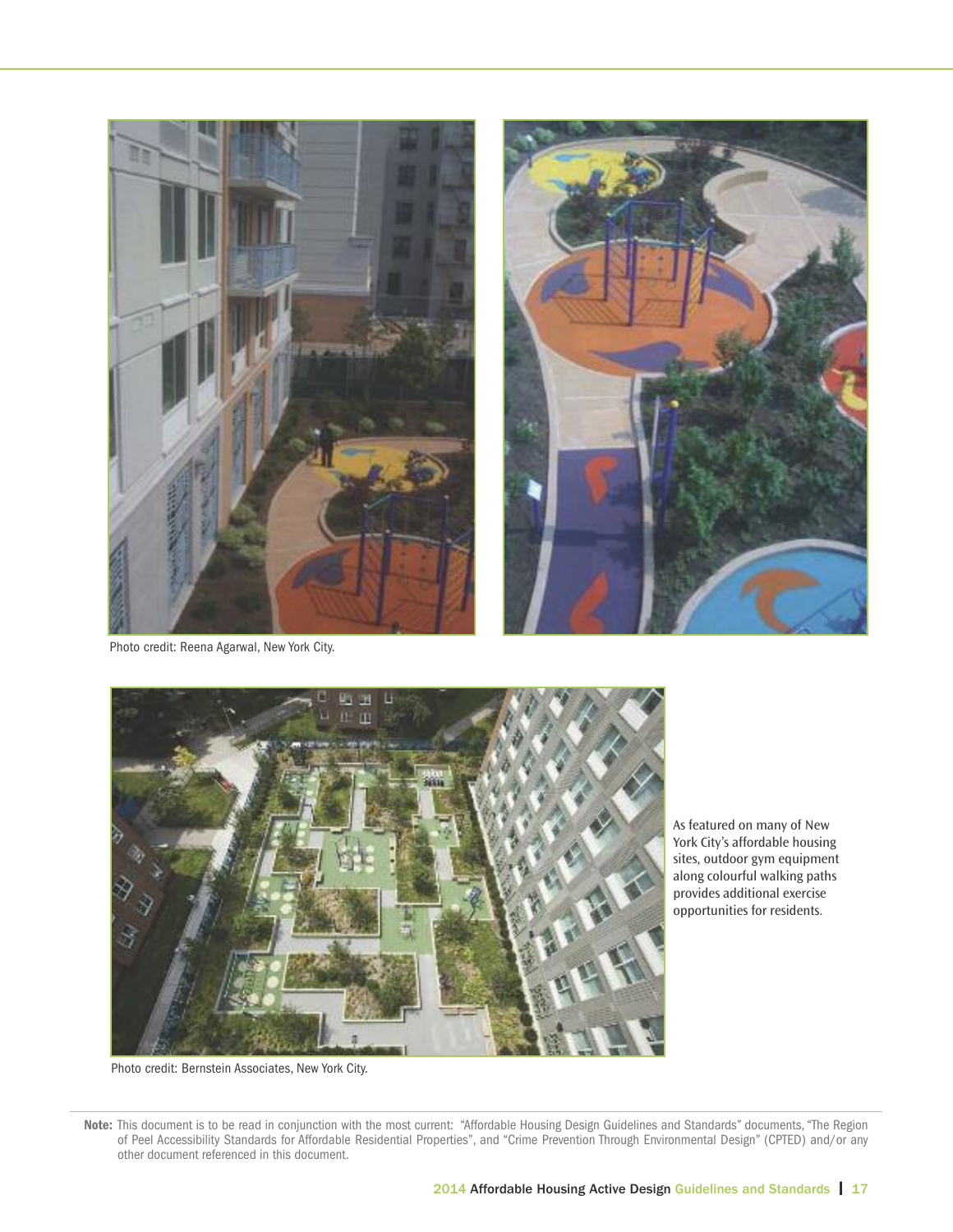

Photo credit: Reena Agarwal, New York City.



As featured on many of New York City's affordable housing sites, outdoor gym equipment along colourful walking paths provides additional exercise opportunities for residents.

Photo credit: Bernstein Associates, New York City.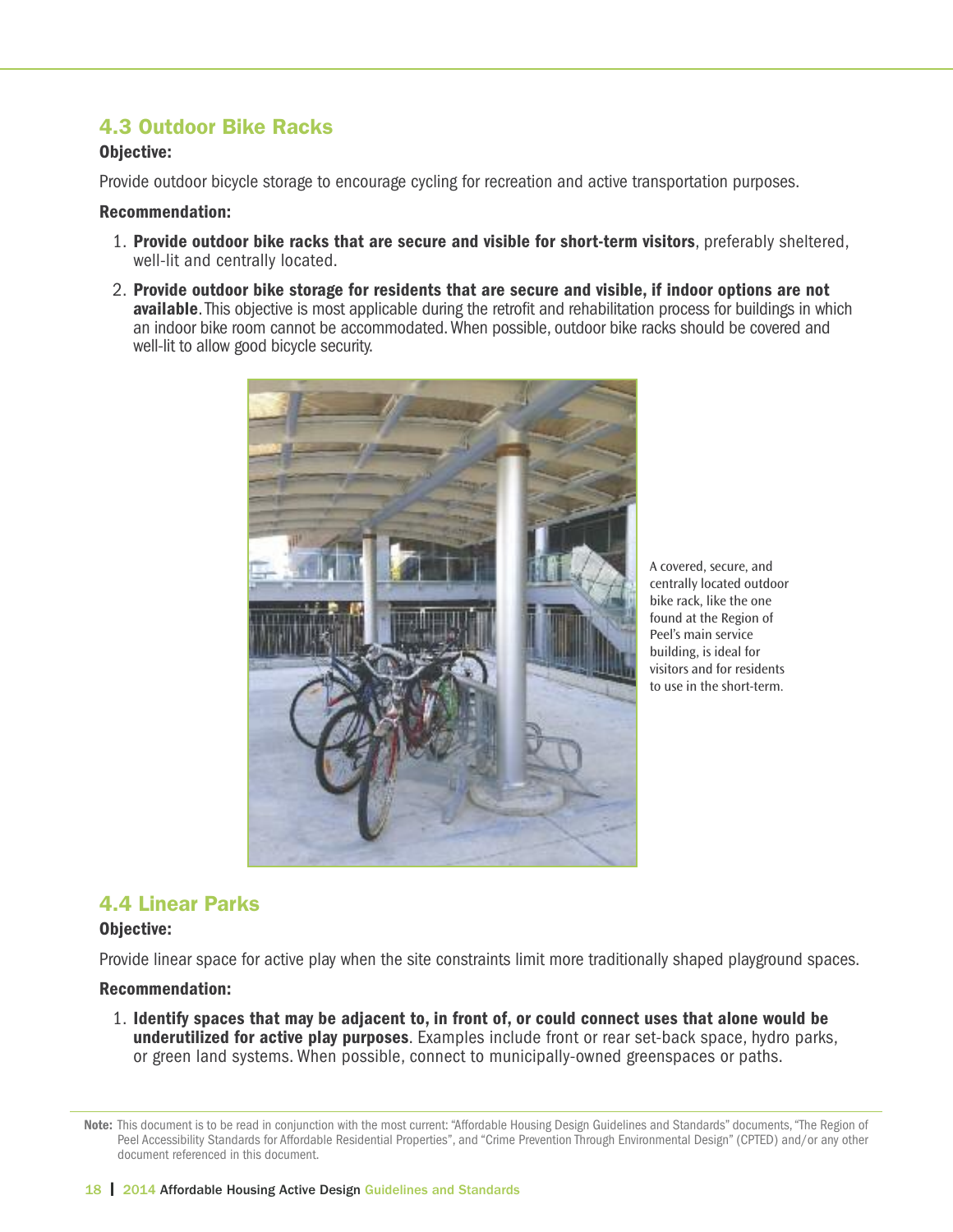# **4.3 Outdoor Bike Racks**

#### **Objective:**

Provide outdoor bicycle storage to encourage cycling for recreation and active transportation purposes.

#### **Recommendation:**

- 1. **Provide outdoor bike racks that are secure and visible for short-term visitors**, preferably sheltered, well-lit and centrally located.
- 2. **Provide outdoor bike storage for residents that are secure and visible, if indoor options are not available**.This objective is most applicable during the retrofit and rehabilitation process for buildings in which an indoor bike room cannot be accommodated.When possible, outdoor bike racks should be covered and well-lit to allow good bicycle security.



A covered, secure, and centrally located outdoor bike rack, like the one found at the Region of Peel's main service building, is ideal for visitors and for residents to use in the short-term.

## **4.4 Linear Parks**

#### **Objective:**

Provide linear space for active play when the site constraints limit more traditionally shaped playground spaces.

#### **Recommendation:**

1. **Identify spaces that may be adjacent to, in front of, or could connect uses that alone would be underutilized for active play purposes**. Examples include front or rear set-back space, hydro parks, or green land systems. When possible, connect to municipally-owned greenspaces or paths.

**Note:** This document is to be read in conjunction with the most current: "Affordable Housing Design Guidelines and Standards" documents,"The Region of Peel Accessibility Standards for Affordable Residential Properties", and "Crime Prevention Through Environmental Design" (CPTED) and/or any other document referenced in this document.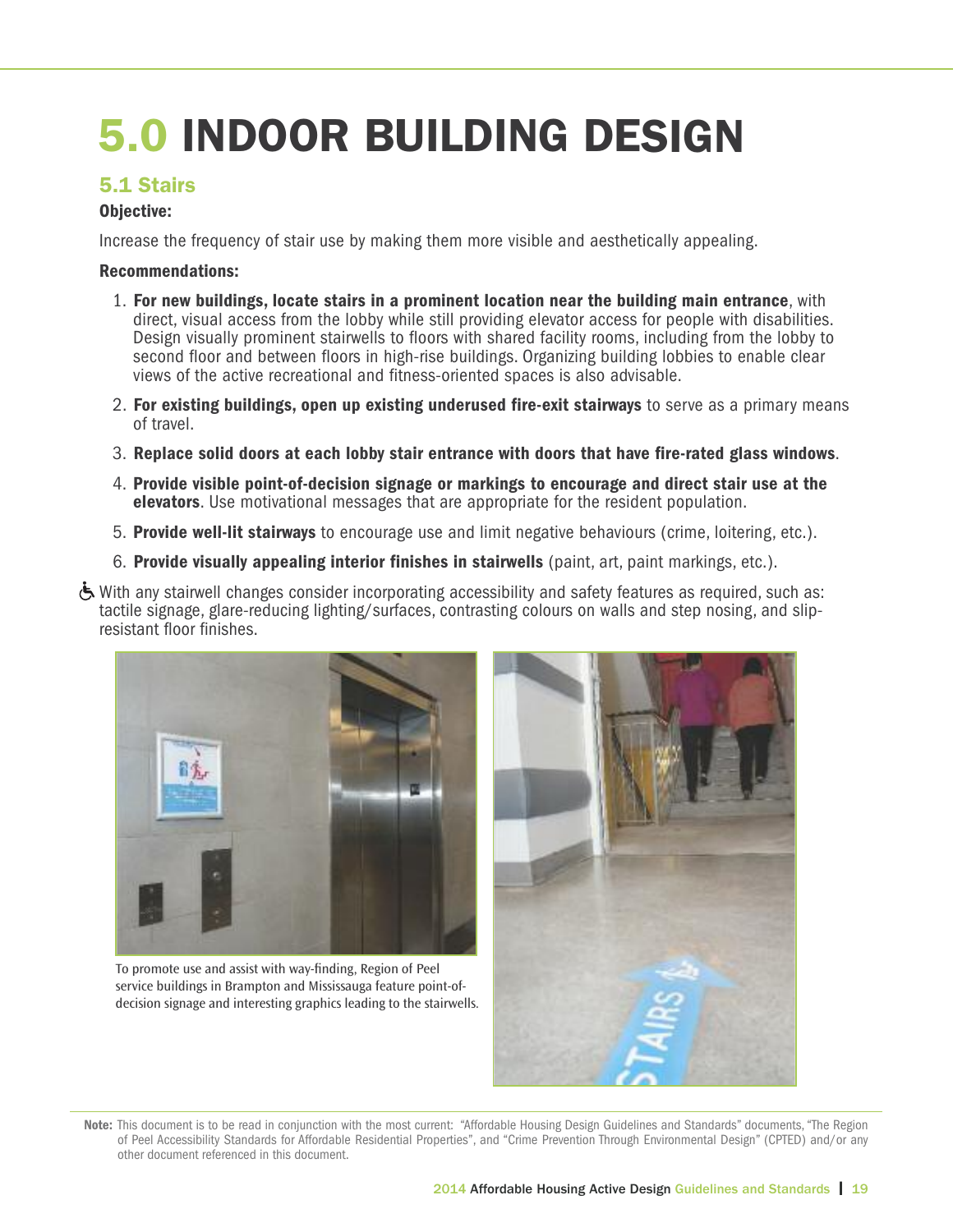# **5.0 INDOOR BUILDING DESIGN**

# **5.1 Stairs**

#### **Objective:**

Increase the frequency of stair use by making them more visible and aesthetically appealing.

#### **Recommendations:**

- 1. **For new buildings, locate stairs in a prominent location near the building main entrance**, with direct, visual access from the lobby while still providing elevator access for people with disabilities. Design visually prominent stairwells to floors with shared facility rooms, including from the lobby to second floor and between floors in high-rise buildings. Organizing building lobbies to enable clear views of the active recreational and fitness-oriented spaces is also advisable.
- 2. **For existing buildings, open up existing underused fire-exit stairways** to serve as a primary means of travel.
- 3. **Replace solid doors at each lobby stair entrance with doors that have fire-rated glass windows**.
- 4. **Provide visible point-of-decision signage or markings to encourage and direct stair use at the elevators**. Use motivational messages that are appropriate for the resident population.
- 5. **Provide well-lit stairways** to encourage use and limit negative behaviours (crime, loitering, etc.).
- 6. **Provide visually appealing interior finishes in stairwells** (paint, art, paint markings, etc.).

With any stairwell changes consider incorporating accessibility and safety features as required, such as: tactile signage, glare-reducing lighting/surfaces, contrasting colours on walls and step nosing, and slipresistant floor finishes.



To promote use and assist with way-finding, Region of Peel service buildings in Brampton and Mississauga feature point-ofdecision signage and interesting graphics leading to the stairwells.

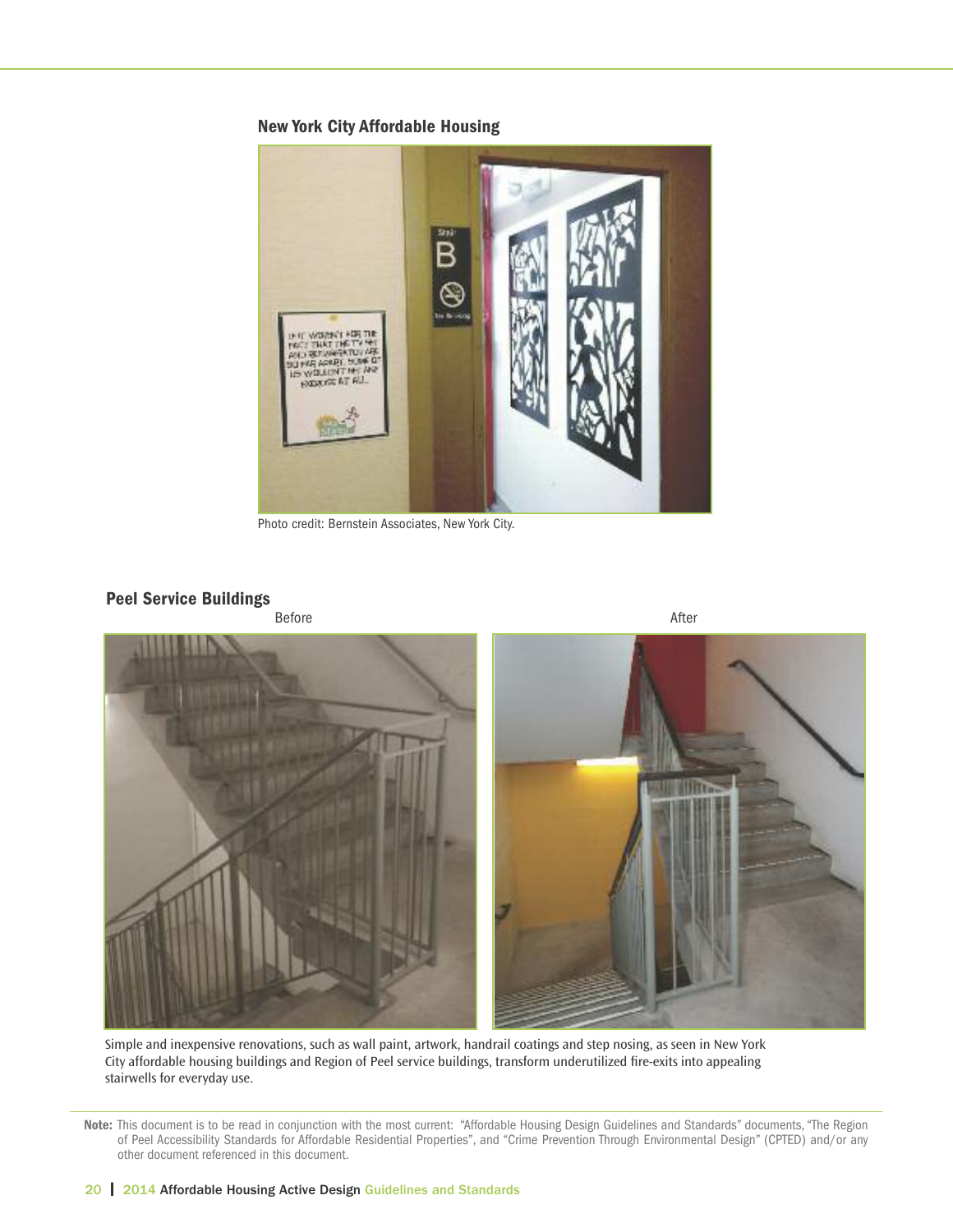#### **New York City Affordable Housing**



Photo credit: Bernstein Associates, New York City.

#### **Peel Service Buildings**



Simple and inexpensive renovations, such as wall paint, artwork, handrail coatings and step nosing, as seen in New York City affordable housing buildings and Region of Peel service buildings, transform underutilized fire-exits into appealing stairwells for everyday use.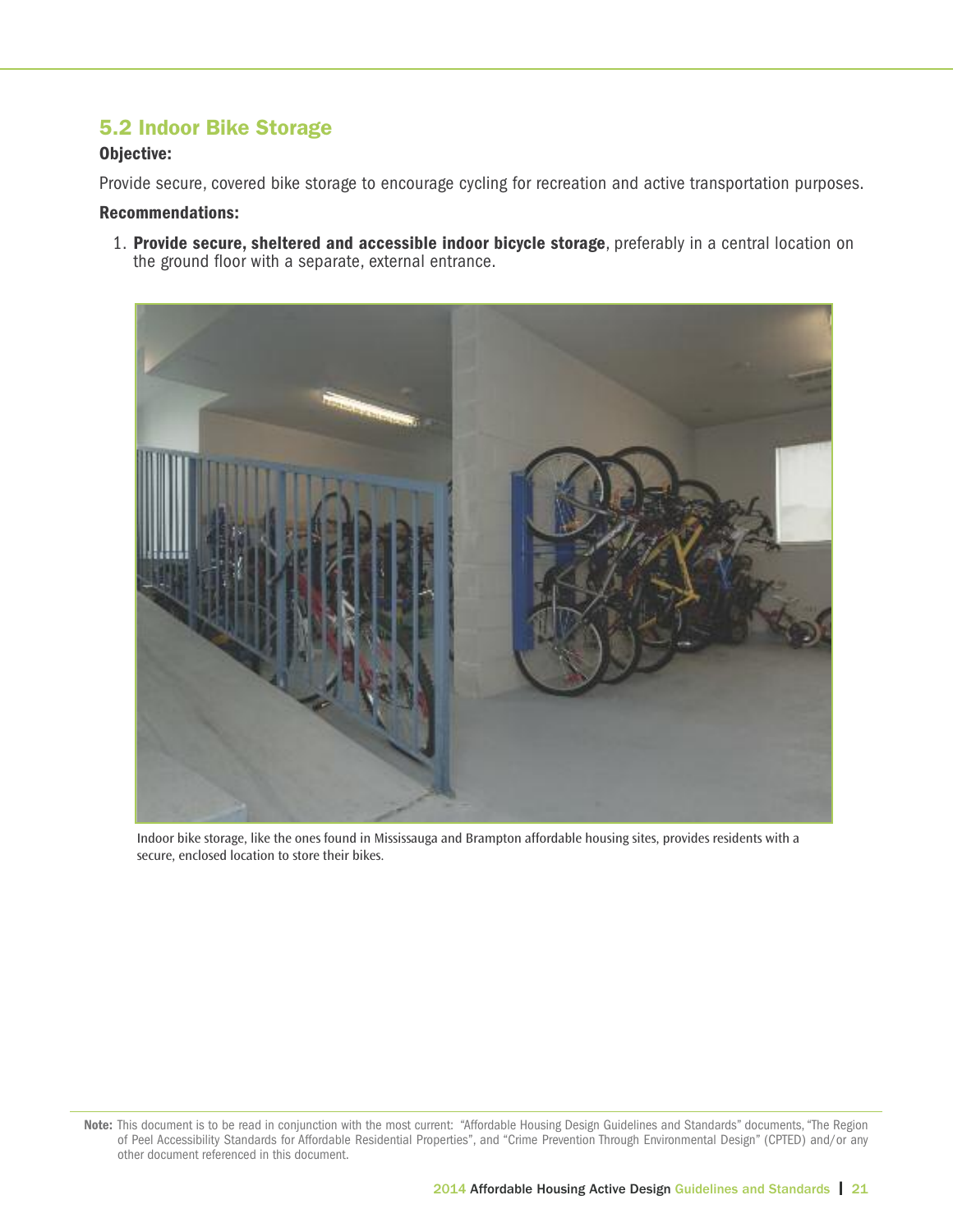# **5.2 Indoor Bike Storage**

#### **Objective:**

Provide secure, covered bike storage to encourage cycling for recreation and active transportation purposes.

#### **Recommendations:**

1. **Provide secure, sheltered and accessible indoor bicycle storage**, preferably in a central location on the ground floor with a separate, external entrance.



Indoor bike storage, like the ones found in Mississauga and Brampton affordable housing sites, provides residents with a secure, enclosed location to store their bikes.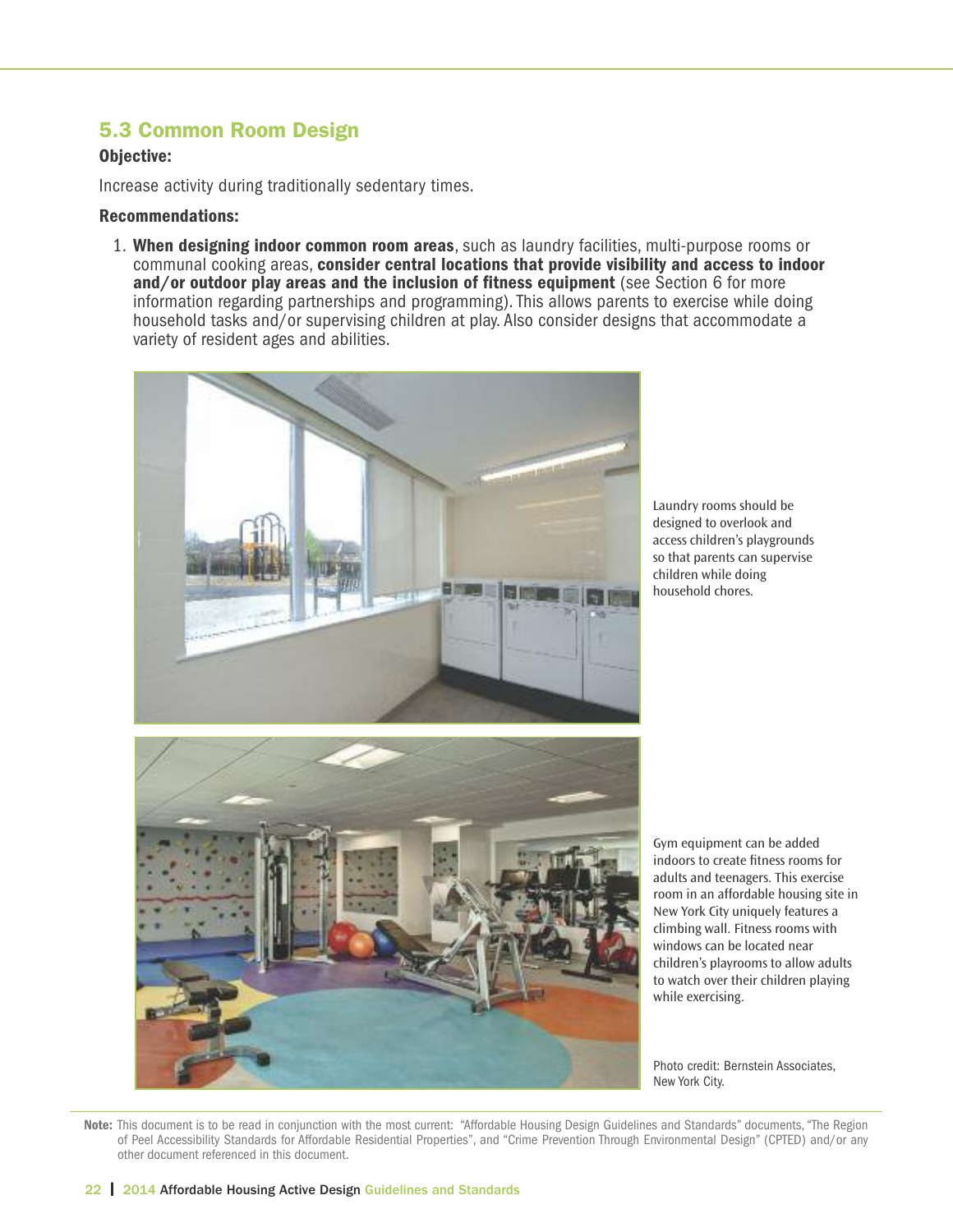# **5.3 Common Room Design**

#### **Objective:**

Increase activity during traditionally sedentary times.

#### **Recommendations:**

1. **When designing indoor common room areas**, such as laundry facilities, multi-purpose rooms or communal cooking areas, **consider central locations that provide visibility and access to indoor and/or outdoor play areas and the inclusion of fitness equipment** (see Section 6 for more information regarding partnerships and programming).This allows parents to exercise while doing household tasks and/or supervising children at play. Also consider designs that accommodate a variety of resident ages and abilities.



Laundry rooms should be designed to overlook and access children's playgrounds so that parents can supervise children while doing household chores.



Gym equipment can be added indoors to create fitness rooms for adults and teenagers. This exercise room in an affordable housing site in New York City uniquely features a climbing wall. Fitness rooms with windows can be located near children's playrooms to allow adults to watch over their children playing while exercising.

Photo credit: Bernstein Associates, New York City.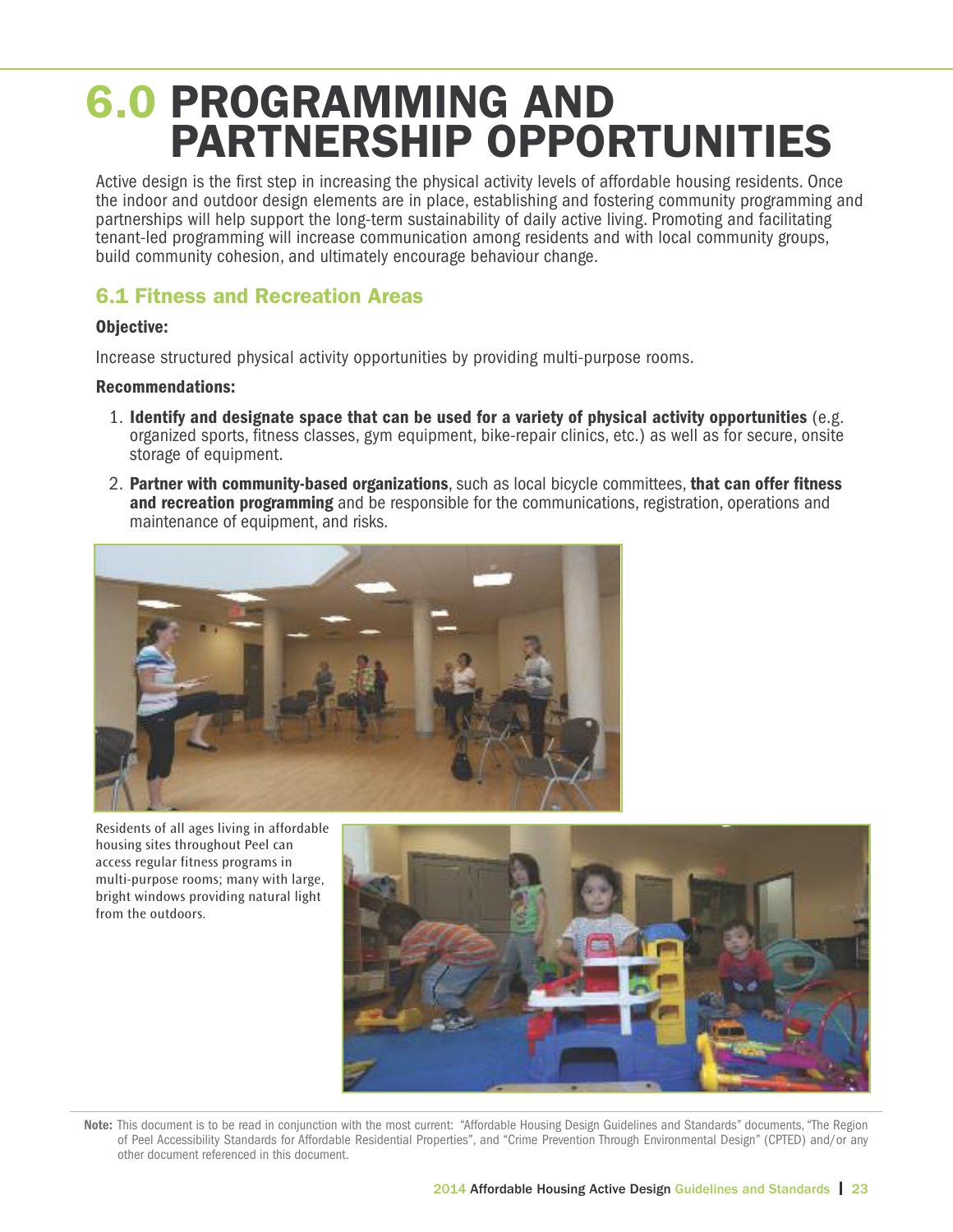# **6.0 PROGRAMMING AND PARTNERSHIP OPPORTUNITIES**

Active design is the first step in increasing the physical activity levels of affordable housing residents. Once the indoor and outdoor design elements are in place, establishing and fostering community programming and partnerships will help support the long-term sustainability of daily active living. Promoting and facilitating tenant-led programming will increase communication among residents and with local community groups, build community cohesion, and ultimately encourage behaviour change.

# **6.1 Fitness and Recreation Areas**

#### **Objective:**

Increase structured physical activity opportunities by providing multi-purpose rooms.

#### **Recommendations:**

- 1. **Identify and designate space that can be used for a variety of physical activity opportunities** (e.g. organized sports, fitness classes, gym equipment, bike-repair clinics, etc.) as well as for secure, onsite storage of equipment.
- 2. **Partner with community-based organizations**, such as local bicycle committees, **that can offer fitness and recreation programming** and be responsible for the communications, registration, operations and maintenance of equipment, and risks.



Residents of all ages living in affordable housing sites throughout Peel can access regular fitness programs in multi-purpose rooms; many with large, bright windows providing natural light from the outdoors.

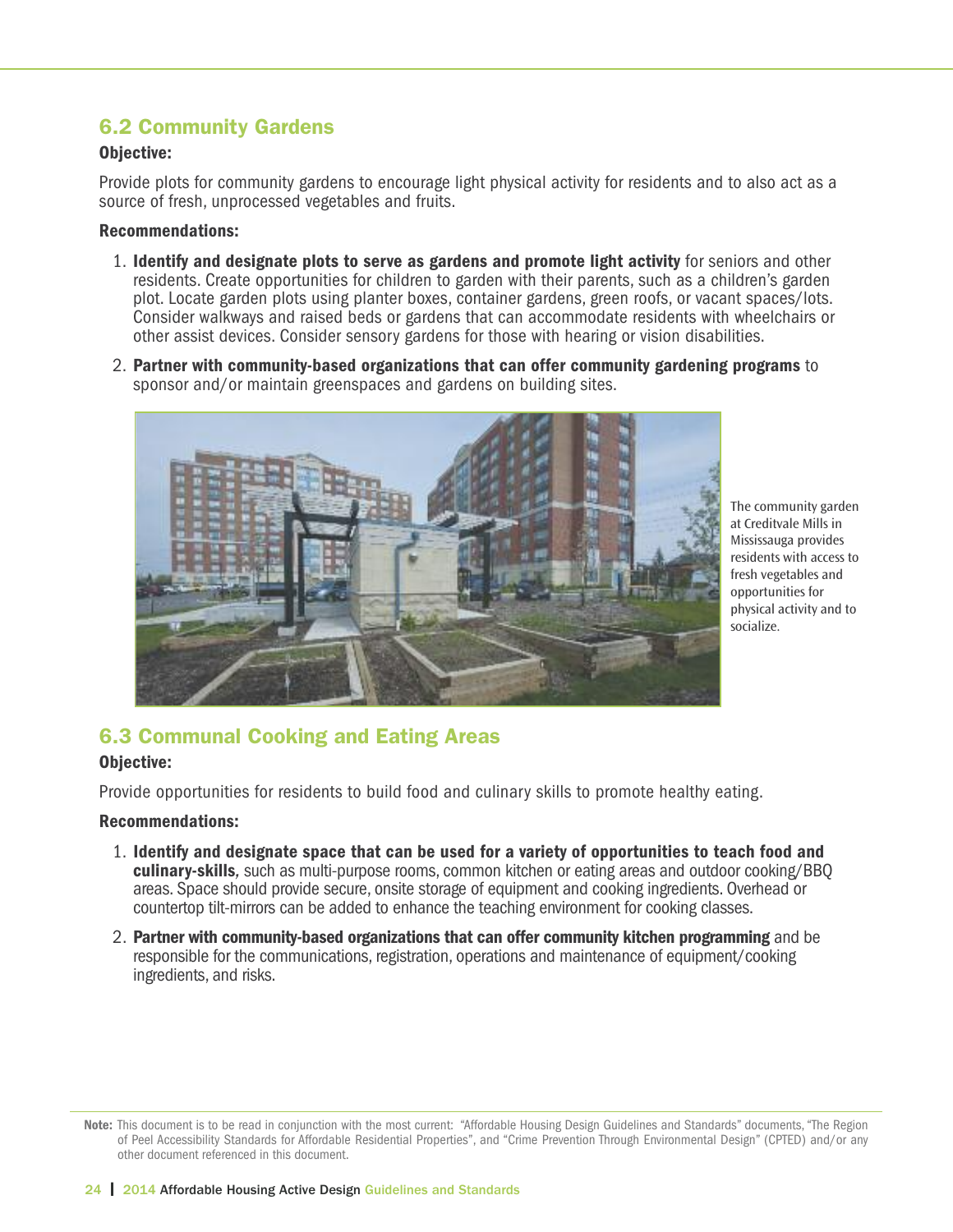# **6.2 Community Gardens**

#### **Objective:**

Provide plots for community gardens to encourage light physical activity for residents and to also act as a source of fresh, unprocessed vegetables and fruits.

#### **Recommendations:**

- 1. **Identify and designate plots to serve as gardens and promote light activity** for seniors and other residents. Create opportunities for children to garden with their parents, such as a children's garden<br>plot. Locate garden plots using planter boxes, container gardens, green roofs, or vacant spaces/lots. Consider walkways and raised beds or gardens that can accommodate residents with wheelchairs or other assist devices. Consider sensory gardens for those with hearing or vision disabilities.
- 2. **Partner with community-based organizations that can offer community gardening programs** to sponsor and/or maintain greenspaces and gardens on building sites.



The community garden at Creditvale Mills in Mississauga provides residents with access to fresh vegetables and opportunities for physical activity and to socialize.

## **6.3 Communal Cooking and Eating Areas**

#### **Objective:**

Provide opportunities for residents to build food and culinary skills to promote healthy eating.

#### **Recommendations:**

- 1. **Identify and designate space that can be used for a variety of opportunities to teach food and culinary-skills***,* such as multi-purpose rooms, common kitchen or eating areas and outdoor cooking/BBQ areas. Space should provide secure, onsite storage of equipment and cooking ingredients. Overhead or countertop tilt-mirrors can be added to enhance the teaching environment for cooking classes.
- 2. **Partner with community-based organizations that can offer community kitchen programming** and be responsible for the communications, registration, operations and maintenance of equipment/cooking ingredients, and risks.

**Note:** This document is to be read in conjunction with the most current: "Affordable Housing Design Guidelines and Standards" documents,"The Region of Peel Accessibility Standards for Affordable Residential Properties", and "Crime Prevention Through Environmental Design" (CPTED) and/or any other document referenced in this document.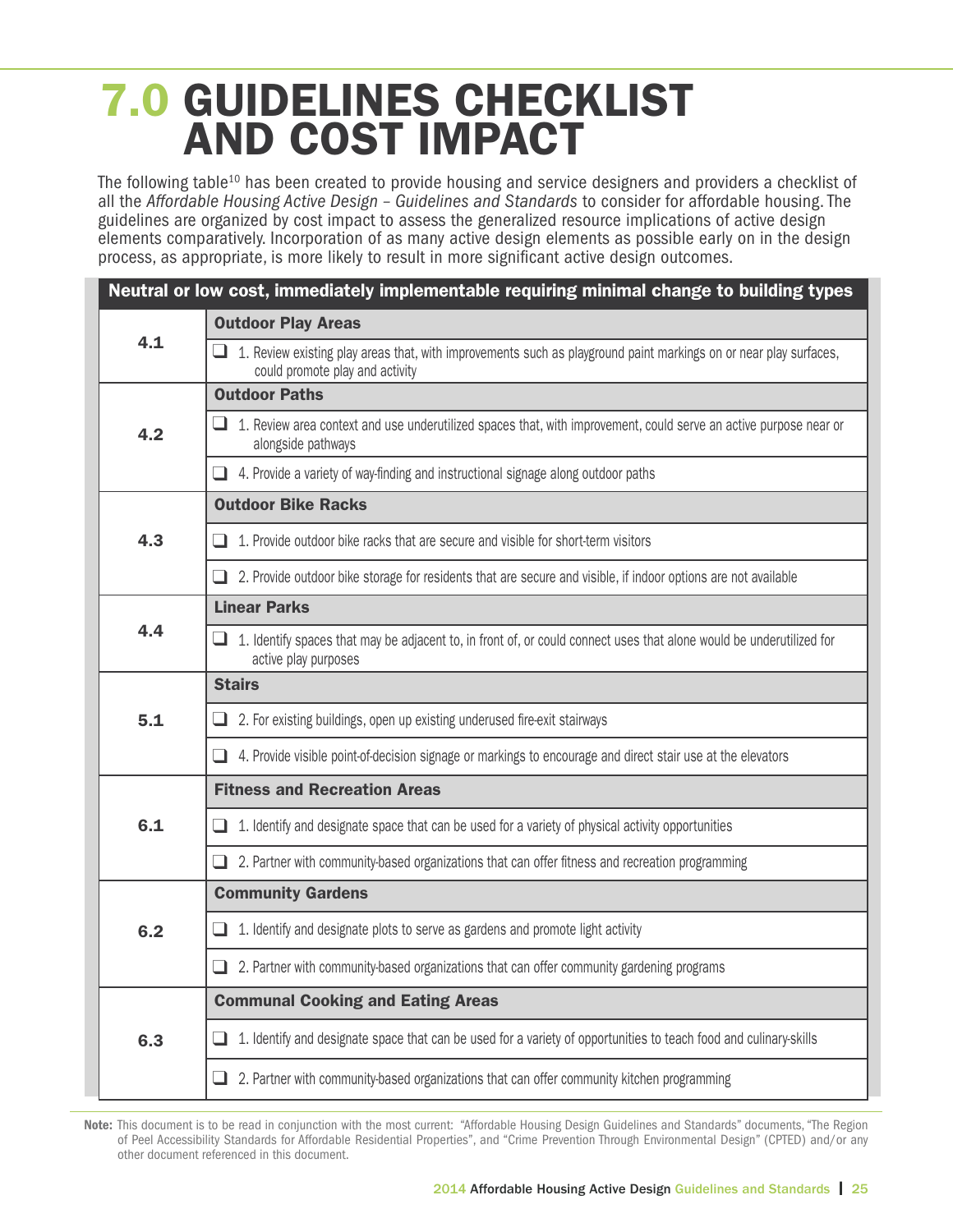# **7.0 GUIDELINES CHECKLIST AND COST IMPACT**

The following table<sup>10</sup> has been created to provide housing and service designers and providers a checklist of all the *Affordable Housing Active Design – Guidelines and Standards* to consider for affordable housing.The guidelines are organized by cost impact to assess the generalized resource implications of active design elements comparatively. Incorporation of as many active design elements as possible early on in the design process, as appropriate, is more likely to result in more significant active design outcomes.

| Neutral or low cost, immediately implementable requiring minimal change to building types |                                                                                                                                                      |  |
|-------------------------------------------------------------------------------------------|------------------------------------------------------------------------------------------------------------------------------------------------------|--|
|                                                                                           | <b>Outdoor Play Areas</b>                                                                                                                            |  |
| 4.1                                                                                       | 1. Review existing play areas that, with improvements such as playground paint markings on or near play surfaces,<br>could promote play and activity |  |
|                                                                                           | <b>Outdoor Paths</b>                                                                                                                                 |  |
| 4.2                                                                                       | 1. Review area context and use underutilized spaces that, with improvement, could serve an active purpose near or<br>alongside pathways              |  |
|                                                                                           | 4. Provide a variety of way-finding and instructional signage along outdoor paths                                                                    |  |
|                                                                                           | <b>Outdoor Bike Racks</b>                                                                                                                            |  |
| 4.3                                                                                       | 1. Provide outdoor bike racks that are secure and visible for short-term visitors                                                                    |  |
|                                                                                           | 2. Provide outdoor bike storage for residents that are secure and visible, if indoor options are not available                                       |  |
|                                                                                           | <b>Linear Parks</b>                                                                                                                                  |  |
| 4.4                                                                                       | 1. Identify spaces that may be adjacent to, in front of, or could connect uses that alone would be underutilized for<br>⊔<br>active play purposes    |  |
|                                                                                           | <b>Stairs</b>                                                                                                                                        |  |
| 5.1                                                                                       | 2. For existing buildings, open up existing underused fire-exit stairways                                                                            |  |
|                                                                                           | 4. Provide visible point-of-decision signage or markings to encourage and direct stair use at the elevators                                          |  |
|                                                                                           | <b>Fitness and Recreation Areas</b>                                                                                                                  |  |
| 6.1                                                                                       | 1. Identify and designate space that can be used for a variety of physical activity opportunities<br>ப                                               |  |
|                                                                                           | 2. Partner with community-based organizations that can offer fitness and recreation programming<br>ப                                                 |  |
|                                                                                           | <b>Community Gardens</b>                                                                                                                             |  |
| 6.2                                                                                       | 1. Identify and designate plots to serve as gardens and promote light activity                                                                       |  |
|                                                                                           | 2. Partner with community-based organizations that can offer community gardening programs                                                            |  |
|                                                                                           | <b>Communal Cooking and Eating Areas</b>                                                                                                             |  |
| 6.3                                                                                       | 1. Identify and designate space that can be used for a variety of opportunities to teach food and culinary-skills                                    |  |
|                                                                                           | 2. Partner with community-based organizations that can offer community kitchen programming                                                           |  |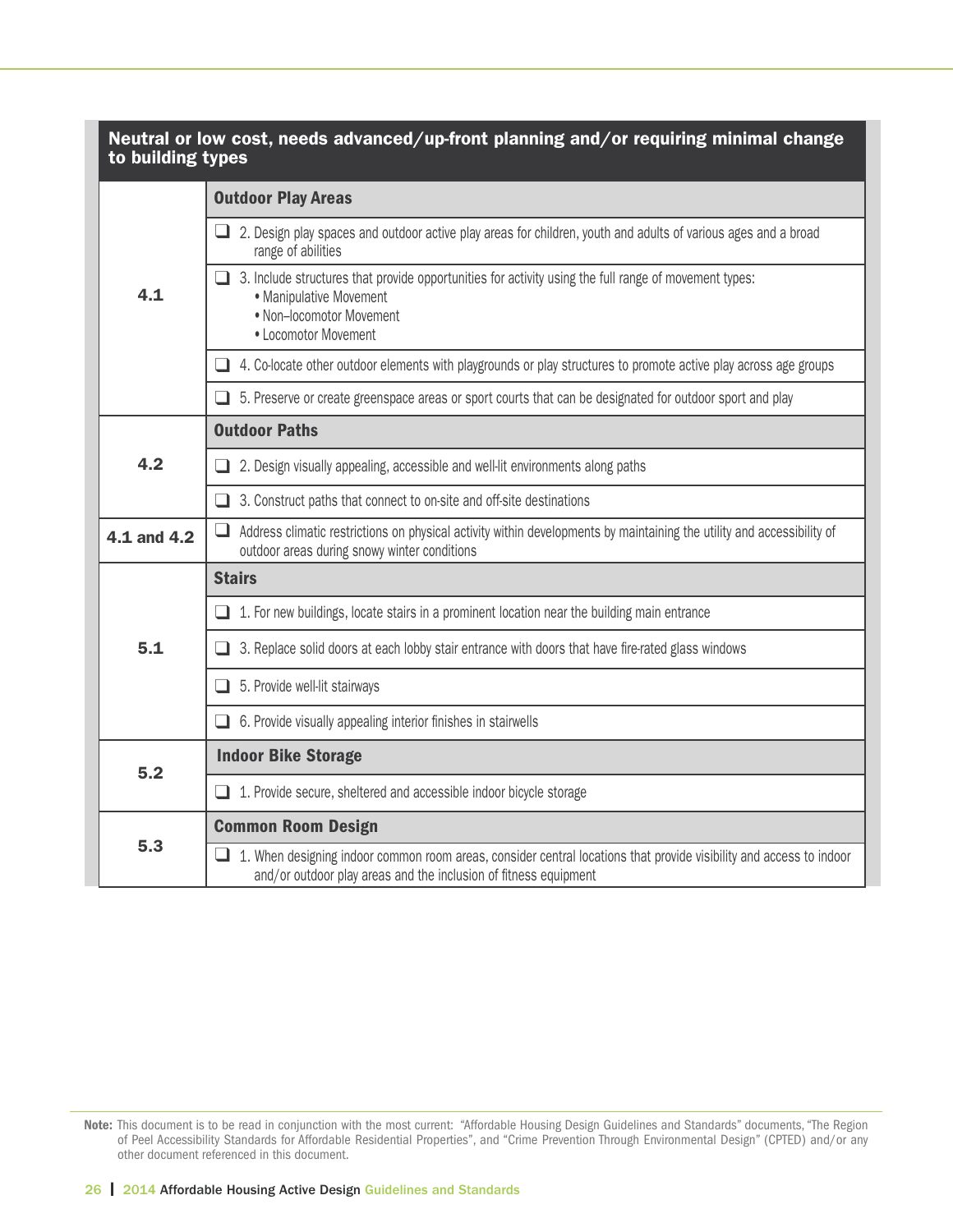#### **Neutral or low cost, needs advanced/up-front planning and/or requiring minimal change to building types**

|             | <b>Outdoor Play Areas</b>                                                                                                                                                                     |
|-------------|-----------------------------------------------------------------------------------------------------------------------------------------------------------------------------------------------|
|             | 2. Design play spaces and outdoor active play areas for children, youth and adults of various ages and a broad<br>⊔<br>range of abilities                                                     |
| 4.1         | 3. Include structures that provide opportunities for activity using the full range of movement types:<br>• Manipulative Movement<br>• Non-locomotor Movement<br>• Locomotor Movement          |
|             | 4. Co-locate other outdoor elements with playgrounds or play structures to promote active play across age groups                                                                              |
|             | 5. Preserve or create greenspace areas or sport courts that can be designated for outdoor sport and play                                                                                      |
|             | <b>Outdoor Paths</b>                                                                                                                                                                          |
| 4.2         | 2. Design visually appealing, accessible and well-lit environments along paths<br>⊔.                                                                                                          |
|             | 3. Construct paths that connect to on-site and off-site destinations<br>$\Box$                                                                                                                |
| 4.1 and 4.2 | Address climatic restrictions on physical activity within developments by maintaining the utility and accessibility of<br>ப<br>outdoor areas during snowy winter conditions                   |
|             | <b>Stairs</b>                                                                                                                                                                                 |
|             | 1. For new buildings, locate stairs in a prominent location near the building main entrance                                                                                                   |
| 5.1         | 3. Replace solid doors at each lobby stair entrance with doors that have fire-rated glass windows                                                                                             |
|             | 5. Provide well-lit stairways                                                                                                                                                                 |
|             | 6. Provide visually appealing interior finishes in stairwells                                                                                                                                 |
| 5.2         | <b>Indoor Bike Storage</b>                                                                                                                                                                    |
|             | 1. Provide secure, sheltered and accessible indoor bicycle storage                                                                                                                            |
|             | <b>Common Room Design</b>                                                                                                                                                                     |
| 5.3         | 1. When designing indoor common room areas, consider central locations that provide visibility and access to indoor<br>u.<br>and/or outdoor play areas and the inclusion of fitness equipment |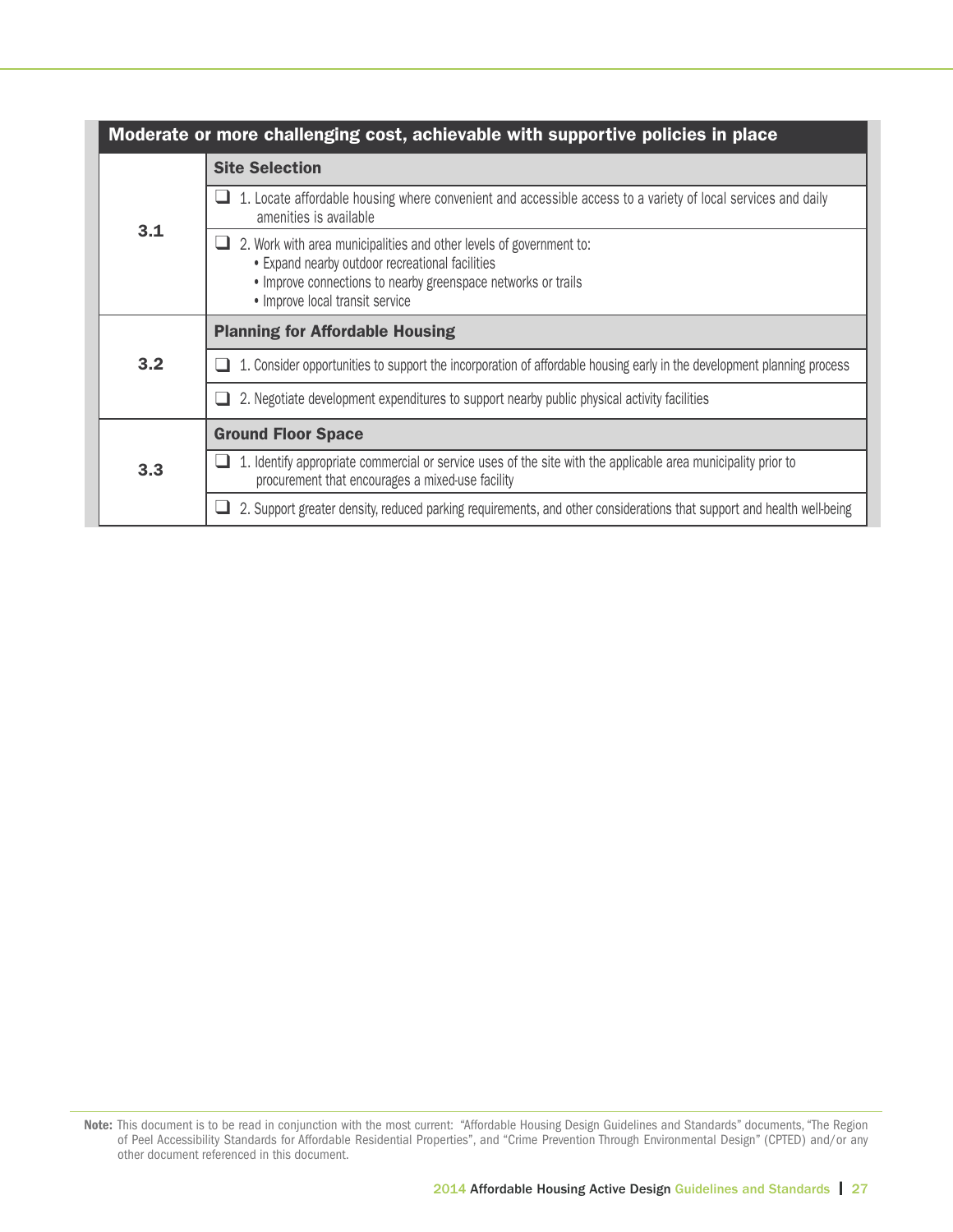| Moderate or more challenging cost, achievable with supportive policies in place |                                                                                                                                                                                                                            |  |
|---------------------------------------------------------------------------------|----------------------------------------------------------------------------------------------------------------------------------------------------------------------------------------------------------------------------|--|
|                                                                                 | <b>Site Selection</b>                                                                                                                                                                                                      |  |
| 3.1                                                                             | 1. Locate affordable housing where convenient and accessible access to a variety of local services and daily<br>amenities is available                                                                                     |  |
|                                                                                 | 2. Work with area municipalities and other levels of government to:<br>• Expand nearby outdoor recreational facilities<br>• Improve connections to nearby greenspace networks or trails<br>• Improve local transit service |  |
|                                                                                 | <b>Planning for Affordable Housing</b>                                                                                                                                                                                     |  |
| 3.2                                                                             | 1. Consider opportunities to support the incorporation of affordable housing early in the development planning process                                                                                                     |  |
|                                                                                 | 2. Negotiate development expenditures to support nearby public physical activity facilities                                                                                                                                |  |
|                                                                                 | <b>Ground Floor Space</b>                                                                                                                                                                                                  |  |
| 3.3                                                                             | 1. Identify appropriate commercial or service uses of the site with the applicable area municipality prior to<br>procurement that encourages a mixed-use facility                                                          |  |
|                                                                                 | 2. Support greater density, reduced parking requirements, and other considerations that support and health well-being                                                                                                      |  |

**Note:** This document is to be read in conjunction with the most current: "Affordable Housing Design Guidelines and Standards" documents,"The Region of Peel Accessibility Standards for Affordable Residential Properties", and "Crime Prevention Through Environmental Design" (CPTED) and/or any other document referenced in this document.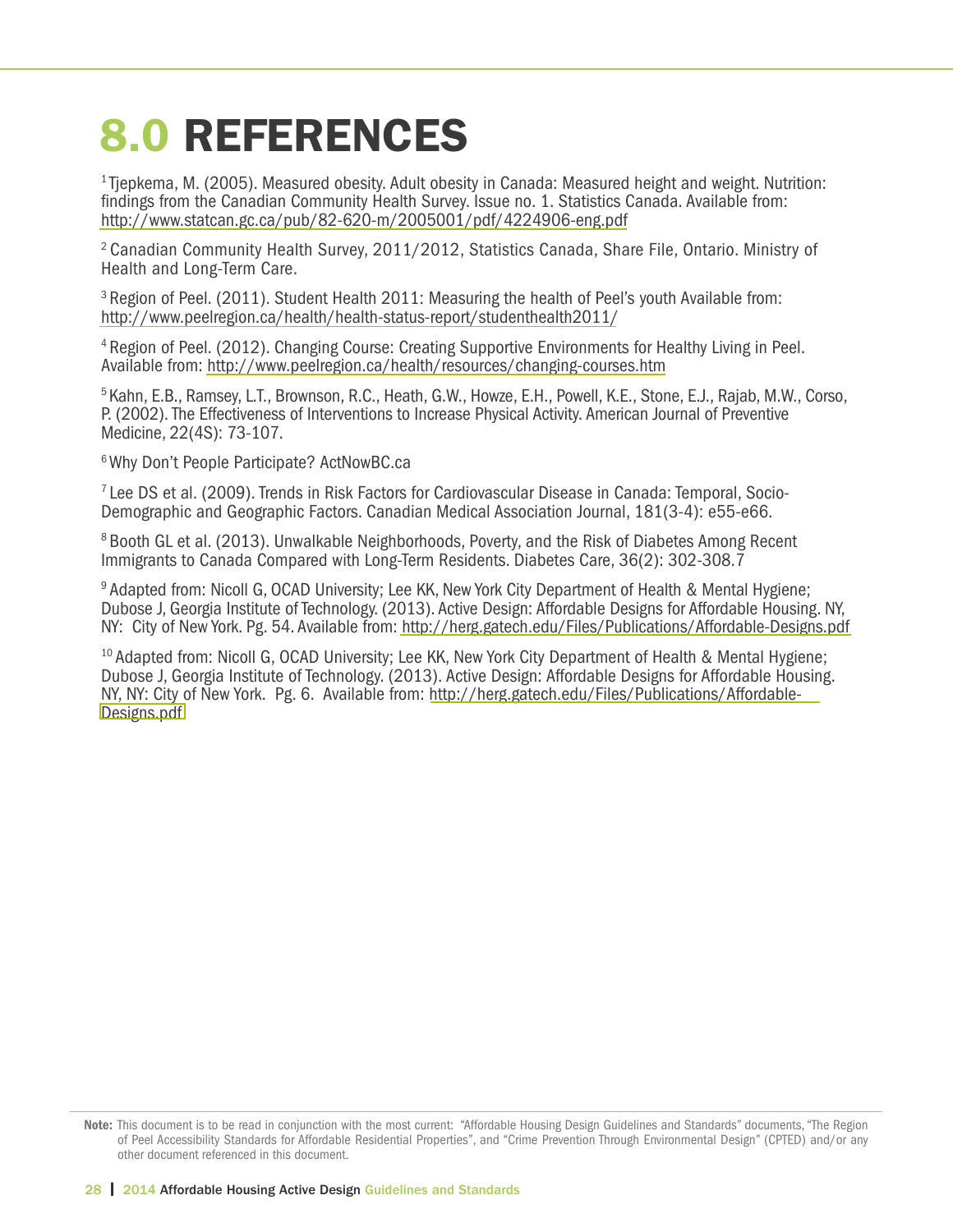# **8.0 REFERENCES**

 $1$ Tjepkema, M. (2005). Measured obesity. Adult obesity in Canada: Measured height and weight. Nutrition: findings from the Canadian Community Health Survey. Issue no. 1. Statistics Canada. Available from: [http://www.statcan.gc.ca/pub/82-620-m/2005001/pdf/4224906-eng.pdf](http://www5.statcan.gc.ca/access_acces/archive.action?loc=/pub/82-620-m/2005001/pdf/4224906-eng.pdf)

<sup>2</sup> Canadian Community Health Survey, 2011/2012, Statistics Canada, Share File, Ontario. Ministry of Health and Long-Term Care.

 $3$  Region of Peel. (2011). Student Health 2011: Measuring the health of Peel's youth Available from: <http://www.peelregion.ca/health/health-status-report/studenthealth2011/>

<sup>4</sup> Region of Peel. (2012). Changing Course: Creating Supportive Environments for Healthy Living in Peel. Available from: <http://www.peelregion.ca/health/resources/changing-courses.htm>

<sup>5</sup> Kahn, E.B., Ramsey, L.T., Brownson, R.C., Heath, G.W., Howze, E.H., Powell, K.E., Stone, E.J., Rajab, M.W., Corso, P. (2002).The Effectiveness of Interventions to Increase Physical Activity. American Journal of Preventive Medicine, 22(4S): 73-107.

6Why Don't People Participate? ActNowBC.ca

<sup>7</sup> Lee DS et al. (2009). Trends in Risk Factors for Cardiovascular Disease in Canada: Temporal, Socio-Demographic and Geographic Factors. Canadian Medical Association Journal, 181(3-4): e55-e66.

<sup>8</sup> Booth GL et al. (2013). Unwalkable Neighborhoods, Poverty, and the Risk of Diabetes Among Recent Immigrants to Canada Compared with Long-Term Residents. Diabetes Care, 36(2): 302-308.7

<sup>9</sup> Adapted from: Nicoll G, OCAD University; Lee KK, New York City Department of Health & Mental Hygiene; Dubose J, Georgia Institute of Technology. (2013). Active Design: Affordable Designs for Affordable Housing. NY,<br>NY: City of New York. Pg. 54. Available from: http://herg.gatech.edu/Files/Publications/Affordable-Designs.pd

 $10$  Adapted from: Nicoll G, OCAD University; Lee KK, New York City Department of Health & Mental Hygiene; Dubose J, Georgia Institute of Technology. (2013). Active Design: Affordable Designs for Affordable Housing. NY, NY: City of New York. Pg. 6. Available from: [http://herg.gatech.edu/Files/Publications/Affordable-](http://herg.gatech.edu/Files/Publications/Affordable-Designs.pdf)[Designs.pdf](http://herg.gatech.edu/Files/Publications/Affordable-Designs.pdf)

**Note:** This document is to be read in conjunction with the most current: "Affordable Housing Design Guidelines and Standards" documents,"The Region of Peel Accessibility Standards for Affordable Residential Properties", and "Crime Prevention Through Environmental Design" (CPTED) and/or any other document referenced in this document.